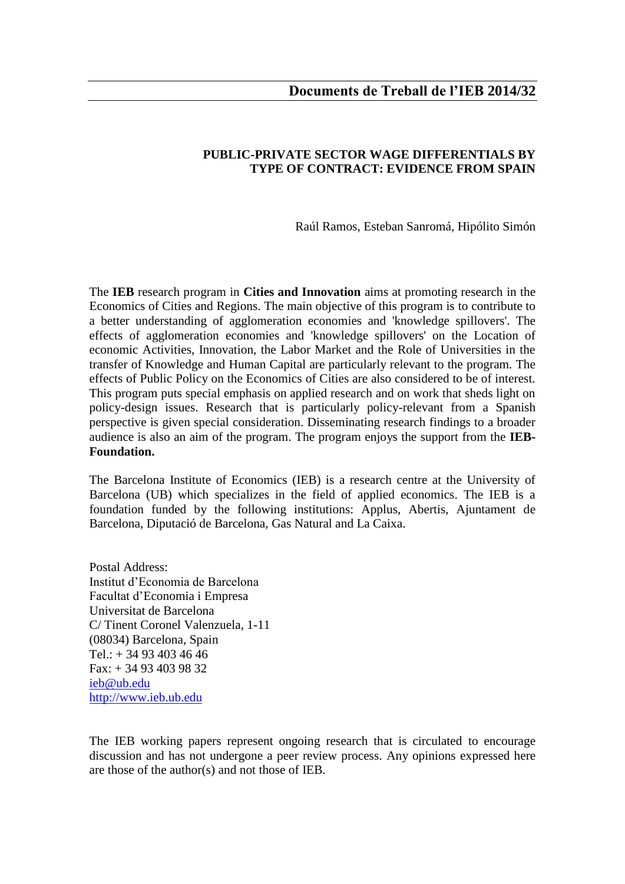# **Documents de Treball de l'IEB 2014/32**

# **PUBLIC-PRIVATE SECTOR WAGE DIFFERENTIALS BY TYPE OF CONTRACT: EVIDENCE FROM SPAIN**

Raúl Ramos, Esteban Sanromá, Hipólito Simón

The **IEB** research program in **Cities and Innovation** aims at promoting research in the Economics of Cities and Regions. The main objective of this program is to contribute to a better understanding of agglomeration economies and 'knowledge spillovers'. The effects of agglomeration economies and 'knowledge spillovers' on the Location of economic Activities, Innovation, the Labor Market and the Role of Universities in the transfer of Knowledge and Human Capital are particularly relevant to the program. The effects of Public Policy on the Economics of Cities are also considered to be of interest. This program puts special emphasis on applied research and on work that sheds light on policy-design issues. Research that is particularly policy-relevant from a Spanish perspective is given special consideration. Disseminating research findings to a broader audience is also an aim of the program. The program enjoys the support from the **IEB-Foundation.**

The Barcelona Institute of Economics (IEB) is a research centre at the University of Barcelona (UB) which specializes in the field of applied economics. The IEB is a foundation funded by the following institutions: Applus, Abertis, Ajuntament de Barcelona, Diputació de Barcelona, Gas Natural and La Caixa.

Postal Address: Institut d'Economia de Barcelona Facultat d'Economia i Empresa Universitat de Barcelona C/ Tinent Coronel Valenzuela, 1-11 (08034) Barcelona, Spain  $Tel: + 34934034646$ Fax: + 34 93 403 98 32 [ieb@ub.edu](mailto:ieb@pcb.ub.es) [http://www.ieb.ub.edu](http://www.ieb.ub.edu/)

The IEB working papers represent ongoing research that is circulated to encourage discussion and has not undergone a peer review process. Any opinions expressed here are those of the author(s) and not those of IEB.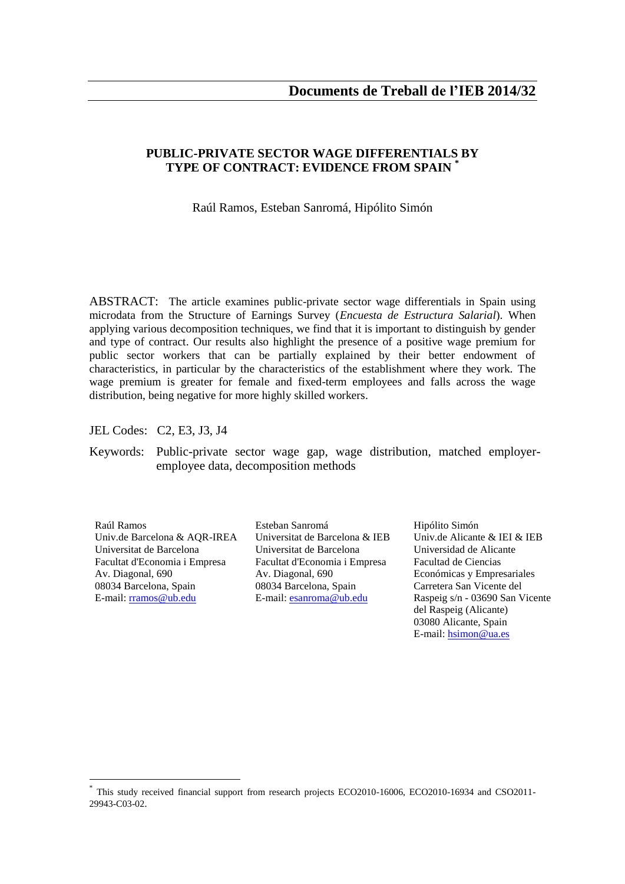## **PUBLIC-PRIVATE SECTOR WAGE DIFFERENTIALS BY TYPE OF CONTRACT: EVIDENCE FROM SPAIN \***

Raúl Ramos, Esteban Sanromá, Hipólito Simón

ABSTRACT: The article examines public-private sector wage differentials in Spain using microdata from the Structure of Earnings Survey (*Encuesta de Estructura Salarial*). When applying various decomposition techniques, we find that it is important to distinguish by gender and type of contract. Our results also highlight the presence of a positive wage premium for public sector workers that can be partially explained by their better endowment of characteristics, in particular by the characteristics of the establishment where they work. The wage premium is greater for female and fixed-term employees and falls across the wage distribution, being negative for more highly skilled workers.

JEL Codes: C2, E3, J3, J4

Keywords: Public-private sector wage gap, wage distribution, matched employeremployee data, decomposition methods

Raúl Ramos Univ.de Barcelona & AQR-IREA Universitat de Barcelona Facultat d'Economia i Empresa Av. Diagonal, 690 08034 Barcelona, Spain E-mail: [rramos@ub.edu](mailto:rramos@ub.edu)

<u>.</u>

Esteban Sanromá Universitat de Barcelona & IEB Universitat de Barcelona Facultat d'Economia i Empresa Av. Diagonal, 690 08034 Barcelona, Spain E-mail: [esanroma@ub.edu](mailto:esanroma@ub.edu)

Hipólito Simón Univ.de Alicante & IEI & IEB Universidad de Alicante Facultad de Ciencias Económicas y Empresariales Carretera San Vicente del Raspeig s/n - 03690 San Vicente del Raspeig (Alicante) 03080 Alicante, Spain E-mail[: hsimon@ua.es](mailto:hsimon@ua.es)

<sup>\*</sup> This study received financial support from research projects ECO2010-16006, ECO2010-16934 and CSO2011- 29943-C03-02.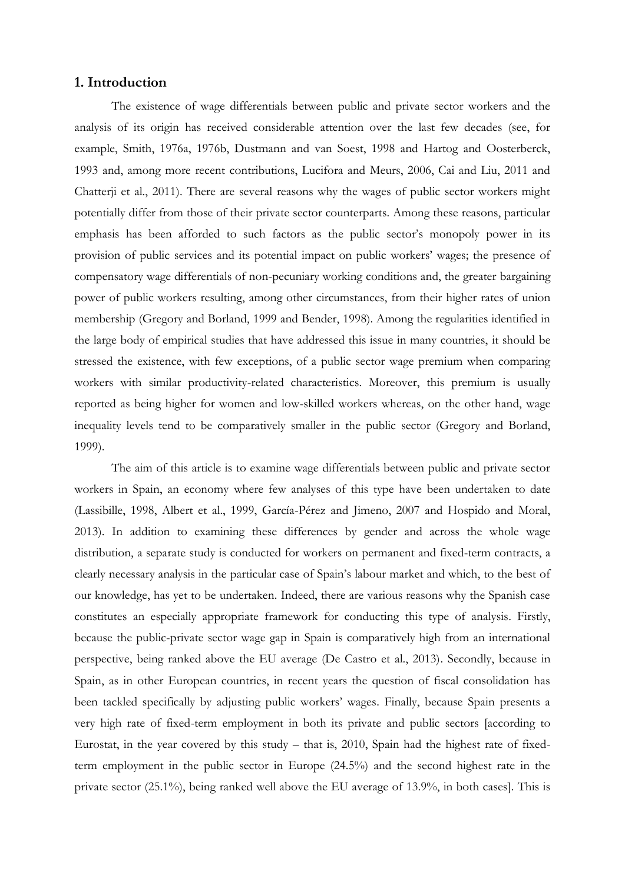#### **1. Introduction**

The existence of wage differentials between public and private sector workers and the analysis of its origin has received considerable attention over the last few decades (see, for example, Smith, 1976a, 1976b, Dustmann and van Soest, 1998 and Hartog and Oosterberck, 1993 and, among more recent contributions, Lucifora and Meurs, 2006, Cai and Liu, 2011 and Chatterji et al., 2011). There are several reasons why the wages of public sector workers might potentially differ from those of their private sector counterparts. Among these reasons, particular emphasis has been afforded to such factors as the public sector's monopoly power in its provision of public services and its potential impact on public workers' wages; the presence of compensatory wage differentials of non-pecuniary working conditions and, the greater bargaining power of public workers resulting, among other circumstances, from their higher rates of union membership (Gregory and Borland, 1999 and Bender, 1998). Among the regularities identified in the large body of empirical studies that have addressed this issue in many countries, it should be stressed the existence, with few exceptions, of a public sector wage premium when comparing workers with similar productivity-related characteristics. Moreover, this premium is usually reported as being higher for women and low-skilled workers whereas, on the other hand, wage inequality levels tend to be comparatively smaller in the public sector (Gregory and Borland, 1999).

The aim of this article is to examine wage differentials between public and private sector workers in Spain, an economy where few analyses of this type have been undertaken to date (Lassibille, 1998, Albert et al., 1999, García-Pérez and Jimeno, 2007 and Hospido and Moral, 2013). In addition to examining these differences by gender and across the whole wage distribution, a separate study is conducted for workers on permanent and fixed-term contracts, a clearly necessary analysis in the particular case of Spain's labour market and which, to the best of our knowledge, has yet to be undertaken. Indeed, there are various reasons why the Spanish case constitutes an especially appropriate framework for conducting this type of analysis. Firstly, because the public-private sector wage gap in Spain is comparatively high from an international perspective, being ranked above the EU average (De Castro et al., 2013). Secondly, because in Spain, as in other European countries, in recent years the question of fiscal consolidation has been tackled specifically by adjusting public workers' wages. Finally, because Spain presents a very high rate of fixed-term employment in both its private and public sectors [according to Eurostat, in the year covered by this study – that is, 2010, Spain had the highest rate of fixedterm employment in the public sector in Europe (24.5%) and the second highest rate in the private sector (25.1%), being ranked well above the EU average of 13.9%, in both cases]. This is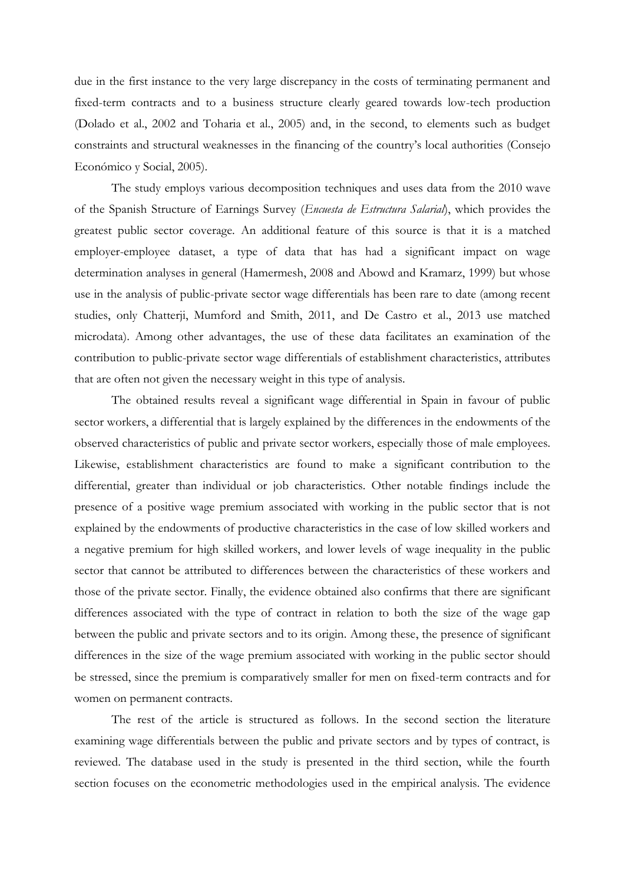due in the first instance to the very large discrepancy in the costs of terminating permanent and fixed-term contracts and to a business structure clearly geared towards low-tech production (Dolado et al., 2002 and Toharia et al., 2005) and, in the second, to elements such as budget constraints and structural weaknesses in the financing of the country's local authorities (Consejo Económico y Social, 2005).

The study employs various decomposition techniques and uses data from the 2010 wave of the Spanish Structure of Earnings Survey (*Encuesta de Estructura Salarial*), which provides the greatest public sector coverage. An additional feature of this source is that it is a matched employer-employee dataset, a type of data that has had a significant impact on wage determination analyses in general (Hamermesh, 2008 and Abowd and Kramarz, 1999) but whose use in the analysis of public-private sector wage differentials has been rare to date (among recent studies, only Chatterji, Mumford and Smith, 2011, and De Castro et al., 2013 use matched microdata). Among other advantages, the use of these data facilitates an examination of the contribution to public-private sector wage differentials of establishment characteristics, attributes that are often not given the necessary weight in this type of analysis.

The obtained results reveal a significant wage differential in Spain in favour of public sector workers, a differential that is largely explained by the differences in the endowments of the observed characteristics of public and private sector workers, especially those of male employees. Likewise, establishment characteristics are found to make a significant contribution to the differential, greater than individual or job characteristics. Other notable findings include the presence of a positive wage premium associated with working in the public sector that is not explained by the endowments of productive characteristics in the case of low skilled workers and a negative premium for high skilled workers, and lower levels of wage inequality in the public sector that cannot be attributed to differences between the characteristics of these workers and those of the private sector. Finally, the evidence obtained also confirms that there are significant differences associated with the type of contract in relation to both the size of the wage gap between the public and private sectors and to its origin. Among these, the presence of significant differences in the size of the wage premium associated with working in the public sector should be stressed, since the premium is comparatively smaller for men on fixed-term contracts and for women on permanent contracts.

The rest of the article is structured as follows. In the second section the literature examining wage differentials between the public and private sectors and by types of contract, is reviewed. The database used in the study is presented in the third section, while the fourth section focuses on the econometric methodologies used in the empirical analysis. The evidence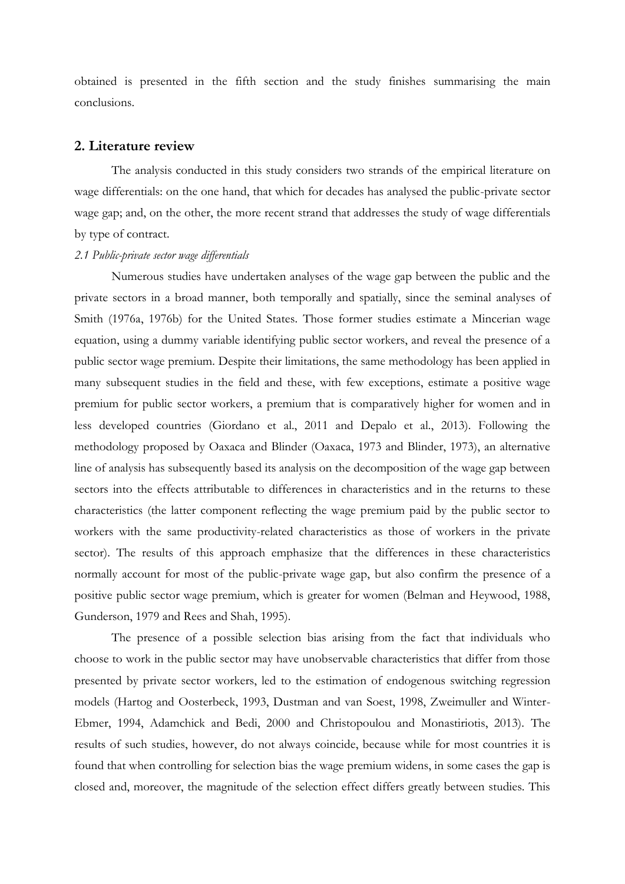obtained is presented in the fifth section and the study finishes summarising the main conclusions.

#### **2. Literature review**

The analysis conducted in this study considers two strands of the empirical literature on wage differentials: on the one hand, that which for decades has analysed the public-private sector wage gap; and, on the other, the more recent strand that addresses the study of wage differentials by type of contract.

#### *2.1 Public-private sector wage differentials*

Numerous studies have undertaken analyses of the wage gap between the public and the private sectors in a broad manner, both temporally and spatially, since the seminal analyses of Smith (1976a, 1976b) for the United States. Those former studies estimate a Mincerian wage equation, using a dummy variable identifying public sector workers, and reveal the presence of a public sector wage premium. Despite their limitations, the same methodology has been applied in many subsequent studies in the field and these, with few exceptions, estimate a positive wage premium for public sector workers, a premium that is comparatively higher for women and in less developed countries (Giordano et al., 2011 and Depalo et al., 2013). Following the methodology proposed by Oaxaca and Blinder (Oaxaca, 1973 and Blinder, 1973), an alternative line of analysis has subsequently based its analysis on the decomposition of the wage gap between sectors into the effects attributable to differences in characteristics and in the returns to these characteristics (the latter component reflecting the wage premium paid by the public sector to workers with the same productivity-related characteristics as those of workers in the private sector). The results of this approach emphasize that the differences in these characteristics normally account for most of the public-private wage gap, but also confirm the presence of a positive public sector wage premium, which is greater for women (Belman and Heywood, 1988, Gunderson, 1979 and Rees and Shah, 1995).

The presence of a possible selection bias arising from the fact that individuals who choose to work in the public sector may have unobservable characteristics that differ from those presented by private sector workers, led to the estimation of endogenous switching regression models (Hartog and Oosterbeck, 1993, Dustman and van Soest, 1998, Zweimuller and Winter-Ebmer, 1994, Adamchick and Bedi, 2000 and Christopoulou and Monastiriotis, 2013). The results of such studies, however, do not always coincide, because while for most countries it is found that when controlling for selection bias the wage premium widens, in some cases the gap is closed and, moreover, the magnitude of the selection effect differs greatly between studies. This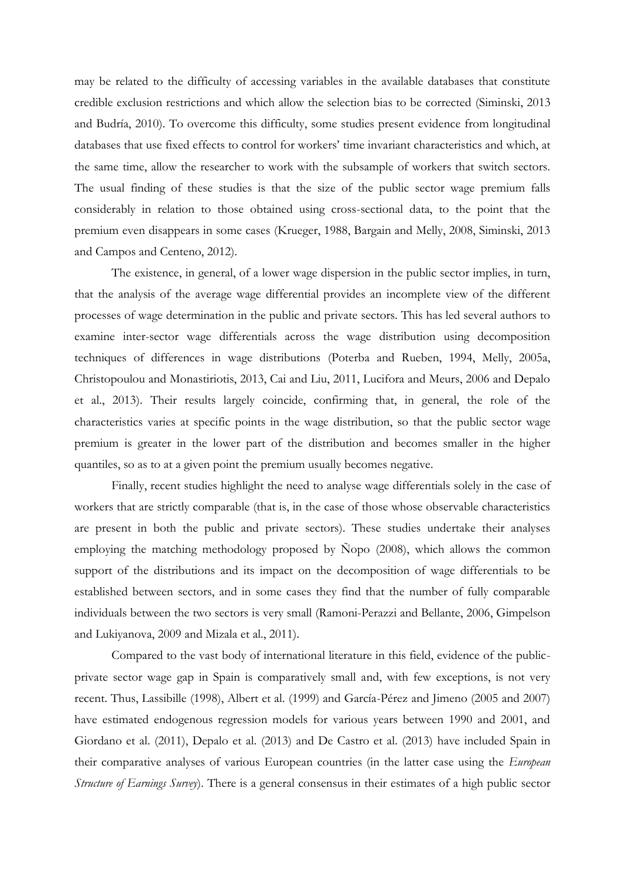may be related to the difficulty of accessing variables in the available databases that constitute credible exclusion restrictions and which allow the selection bias to be corrected (Siminski, 2013 and Budría, 2010). To overcome this difficulty, some studies present evidence from longitudinal databases that use fixed effects to control for workers' time invariant characteristics and which, at the same time, allow the researcher to work with the subsample of workers that switch sectors. The usual finding of these studies is that the size of the public sector wage premium falls considerably in relation to those obtained using cross-sectional data, to the point that the premium even disappears in some cases (Krueger, 1988, Bargain and Melly, 2008, Siminski, 2013 and Campos and Centeno, 2012).

The existence, in general, of a lower wage dispersion in the public sector implies, in turn, that the analysis of the average wage differential provides an incomplete view of the different processes of wage determination in the public and private sectors. This has led several authors to examine inter-sector wage differentials across the wage distribution using decomposition techniques of differences in wage distributions (Poterba and Rueben, 1994, Melly, 2005a, Christopoulou and Monastiriotis, 2013, Cai and Liu, 2011, Lucifora and Meurs, 2006 and Depalo et al., 2013). Their results largely coincide, confirming that, in general, the role of the characteristics varies at specific points in the wage distribution, so that the public sector wage premium is greater in the lower part of the distribution and becomes smaller in the higher quantiles, so as to at a given point the premium usually becomes negative.

Finally, recent studies highlight the need to analyse wage differentials solely in the case of workers that are strictly comparable (that is, in the case of those whose observable characteristics are present in both the public and private sectors). These studies undertake their analyses employing the matching methodology proposed by Ñopo (2008), which allows the common support of the distributions and its impact on the decomposition of wage differentials to be established between sectors, and in some cases they find that the number of fully comparable individuals between the two sectors is very small (Ramoni-Perazzi and Bellante, 2006, Gimpelson and Lukiyanova, 2009 and Mizala et al., 2011).

Compared to the vast body of international literature in this field, evidence of the publicprivate sector wage gap in Spain is comparatively small and, with few exceptions, is not very recent. Thus, Lassibille (1998), Albert et al. (1999) and García-Pérez and Jimeno (2005 and 2007) have estimated endogenous regression models for various years between 1990 and 2001, and Giordano et al. (2011), Depalo et al. (2013) and De Castro et al. (2013) have included Spain in their comparative analyses of various European countries (in the latter case using the *European Structure of Earnings Survey*). There is a general consensus in their estimates of a high public sector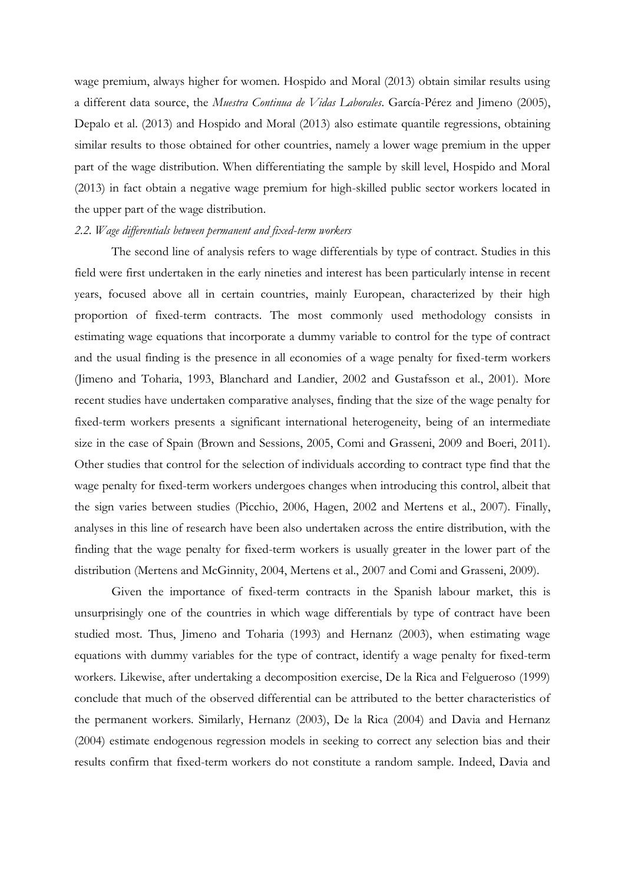wage premium, always higher for women. Hospido and Moral (2013) obtain similar results using a different data source, the *Muestra Continua de Vidas Laborales*. García-Pérez and Jimeno (2005), Depalo et al. (2013) and Hospido and Moral (2013) also estimate quantile regressions, obtaining similar results to those obtained for other countries, namely a lower wage premium in the upper part of the wage distribution. When differentiating the sample by skill level, Hospido and Moral (2013) in fact obtain a negative wage premium for high-skilled public sector workers located in the upper part of the wage distribution.

#### *2.2. Wage differentials between permanent and fixed*-*term workers*

The second line of analysis refers to wage differentials by type of contract. Studies in this field were first undertaken in the early nineties and interest has been particularly intense in recent years, focused above all in certain countries, mainly European, characterized by their high proportion of fixed-term contracts. The most commonly used methodology consists in estimating wage equations that incorporate a dummy variable to control for the type of contract and the usual finding is the presence in all economies of a wage penalty for fixed-term workers (Jimeno and Toharia, 1993, Blanchard and Landier, 2002 and Gustafsson et al., 2001). More recent studies have undertaken comparative analyses, finding that the size of the wage penalty for fixed-term workers presents a significant international heterogeneity, being of an intermediate size in the case of Spain (Brown and Sessions, 2005, Comi and Grasseni, 2009 and Boeri, 2011). Other studies that control for the selection of individuals according to contract type find that the wage penalty for fixed-term workers undergoes changes when introducing this control, albeit that the sign varies between studies (Picchio, 2006, Hagen, 2002 and Mertens et al., 2007). Finally, analyses in this line of research have been also undertaken across the entire distribution, with the finding that the wage penalty for fixed-term workers is usually greater in the lower part of the distribution (Mertens and McGinnity, 2004, Mertens et al., 2007 and Comi and Grasseni, 2009).

Given the importance of fixed-term contracts in the Spanish labour market, this is unsurprisingly one of the countries in which wage differentials by type of contract have been studied most. Thus, Jimeno and Toharia (1993) and Hernanz (2003), when estimating wage equations with dummy variables for the type of contract, identify a wage penalty for fixed-term workers. Likewise, after undertaking a decomposition exercise, De la Rica and Felgueroso (1999) conclude that much of the observed differential can be attributed to the better characteristics of the permanent workers. Similarly, Hernanz (2003), De la Rica (2004) and Davia and Hernanz (2004) estimate endogenous regression models in seeking to correct any selection bias and their results confirm that fixed-term workers do not constitute a random sample. Indeed, Davia and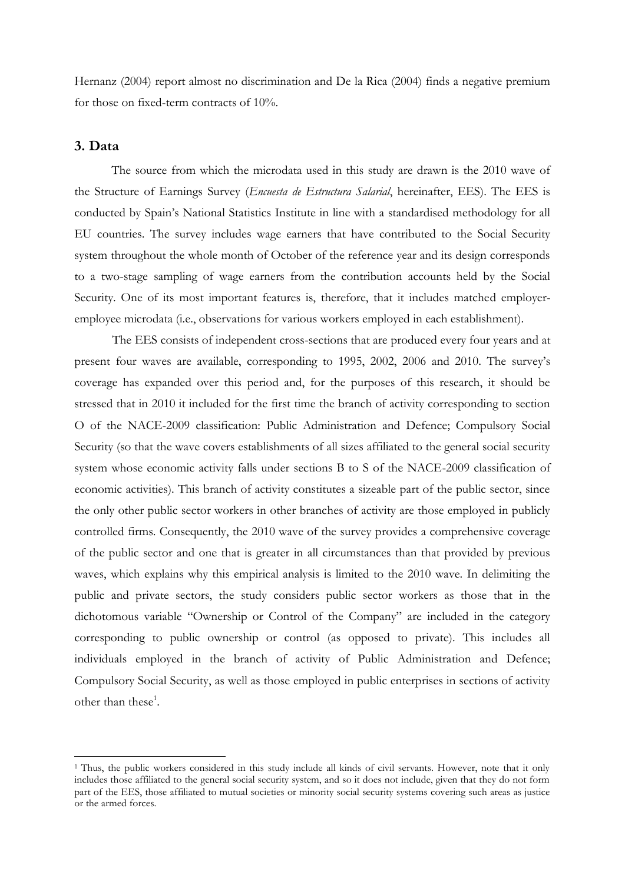Hernanz (2004) report almost no discrimination and De la Rica (2004) finds a negative premium for those on fixed-term contracts of 10%.

# **3. Data**

 $\overline{a}$ 

The source from which the microdata used in this study are drawn is the 2010 wave of the Structure of Earnings Survey (*Encuesta de Estructura Salarial*, hereinafter, EES). The EES is conducted by Spain's National Statistics Institute in line with a standardised methodology for all EU countries. The survey includes wage earners that have contributed to the Social Security system throughout the whole month of October of the reference year and its design corresponds to a two-stage sampling of wage earners from the contribution accounts held by the Social Security. One of its most important features is, therefore, that it includes matched employeremployee microdata (i.e., observations for various workers employed in each establishment).

The EES consists of independent cross-sections that are produced every four years and at present four waves are available, corresponding to 1995, 2002, 2006 and 2010. The survey's coverage has expanded over this period and, for the purposes of this research, it should be stressed that in 2010 it included for the first time the branch of activity corresponding to section O of the NACE-2009 classification: Public Administration and Defence; Compulsory Social Security (so that the wave covers establishments of all sizes affiliated to the general social security system whose economic activity falls under sections B to S of the NACE-2009 classification of economic activities). This branch of activity constitutes a sizeable part of the public sector, since the only other public sector workers in other branches of activity are those employed in publicly controlled firms. Consequently, the 2010 wave of the survey provides a comprehensive coverage of the public sector and one that is greater in all circumstances than that provided by previous waves, which explains why this empirical analysis is limited to the 2010 wave. In delimiting the public and private sectors, the study considers public sector workers as those that in the dichotomous variable "Ownership or Control of the Company" are included in the category corresponding to public ownership or control (as opposed to private). This includes all individuals employed in the branch of activity of Public Administration and Defence; Compulsory Social Security, as well as those employed in public enterprises in sections of activity other than these $^{1}$ .

<sup>1</sup> Thus, the public workers considered in this study include all kinds of civil servants. However, note that it only includes those affiliated to the general social security system, and so it does not include, given that they do not form part of the EES, those affiliated to mutual societies or minority social security systems covering such areas as justice or the armed forces.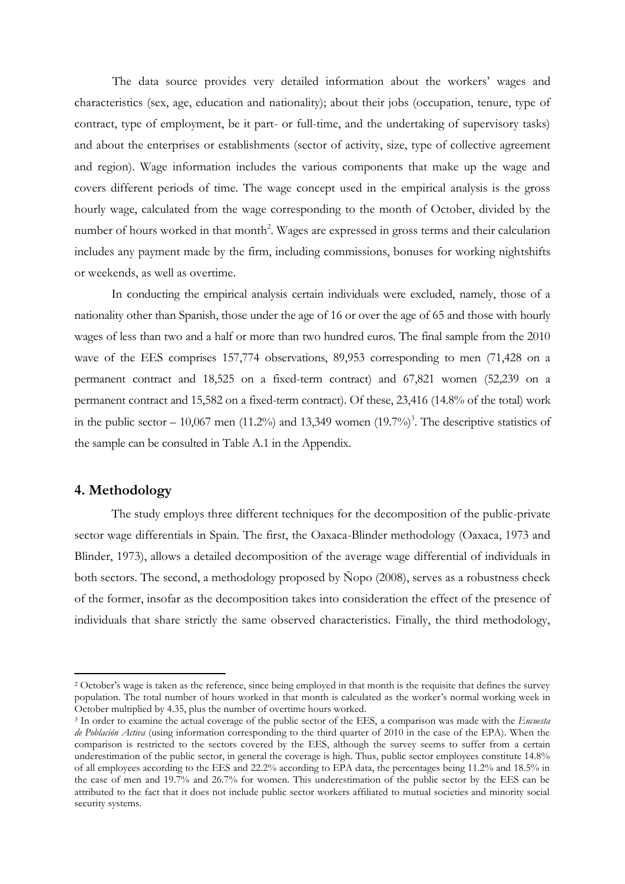The data source provides very detailed information about the workers' wages and characteristics (sex, age, education and nationality); about their jobs (occupation, tenure, type of contract, type of employment, be it part- or full-time, and the undertaking of supervisory tasks) and about the enterprises or establishments (sector of activity, size, type of collective agreement and region). Wage information includes the various components that make up the wage and covers different periods of time. The wage concept used in the empirical analysis is the gross hourly wage, calculated from the wage corresponding to the month of October, divided by the number of hours worked in that month<sup>2</sup>. Wages are expressed in gross terms and their calculation includes any payment made by the firm, including commissions, bonuses for working nightshifts or weekends, as well as overtime.

In conducting the empirical analysis certain individuals were excluded, namely, those of a nationality other than Spanish, those under the age of 16 or over the age of 65 and those with hourly wages of less than two and a half or more than two hundred euros. The final sample from the 2010 wave of the EES comprises 157,774 observations, 89,953 corresponding to men (71,428 on a permanent contract and 18,525 on a fixed-term contract) and 67,821 women (52,239 on a permanent contract and 15,582 on a fixed-term contract). Of these, 23,416 (14.8% of the total) work in the public sector  $-10,067$  men (11.2%) and 13,349 women (19.7%)<sup>3</sup>. The descriptive statistics of the sample can be consulted in Table A.1 in the Appendix.

# **4. Methodology**

 $\overline{a}$ 

The study employs three different techniques for the decomposition of the public-private sector wage differentials in Spain. The first, the Oaxaca-Blinder methodology (Oaxaca, 1973 and Blinder, 1973), allows a detailed decomposition of the average wage differential of individuals in both sectors. The second, a methodology proposed by Ñopo (2008), serves as a robustness check of the former, insofar as the decomposition takes into consideration the effect of the presence of individuals that share strictly the same observed characteristics. Finally, the third methodology,

<sup>&</sup>lt;sup>2</sup> October's wage is taken as the reference, since being employed in that month is the requisite that defines the survey population. The total number of hours worked in that month is calculated as the worker's normal working week in October multiplied by 4.35, plus the number of overtime hours worked.

<sup>3</sup> In order to examine the actual coverage of the public sector of the EES, a comparison was made with the *Encuesta de Población Activa* (using information corresponding to the third quarter of 2010 in the case of the EPA). When the comparison is restricted to the sectors covered by the EES, although the survey seems to suffer from a certain underestimation of the public sector, in general the coverage is high. Thus, public sector employees constitute 14.8% of all employees according to the EES and 22.2% according to EPA data, the percentages being 11.2% and 18.5% in the case of men and 19.7% and 26.7% for women. This underestimation of the public sector by the EES can be attributed to the fact that it does not include public sector workers affiliated to mutual societies and minority social security systems.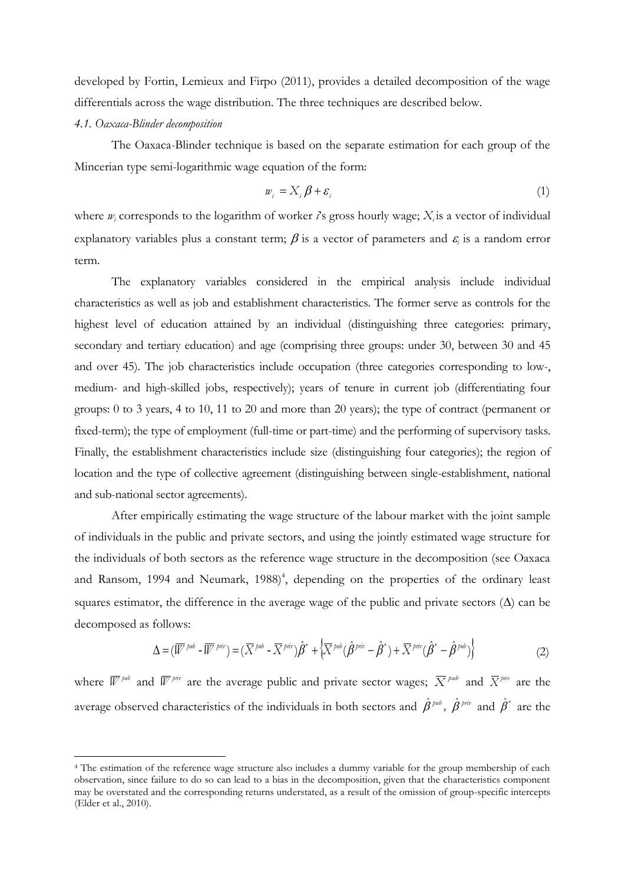developed by Fortin, Lemieux and Firpo (2011), provides a detailed decomposition of the wage differentials across the wage distribution. The three techniques are described below.

#### *4.1. Oaxaca-Blinder decomposition*

 $\overline{a}$ 

The Oaxaca-Blinder technique is based on the separate estimation for each group of the Mincerian type semi-logarithmic wage equation of the form:

$$
w_i = X_i \beta + \varepsilon_i \tag{1}
$$

where *w<sup>i</sup>* corresponds to the logarithm of worker *i*'s gross hourly wage; *Xi* is a vector of individual explanatory variables plus a constant term;  $\beta$  is a vector of parameters and  $\varepsilon$  is a random error term.

The explanatory variables considered in the empirical analysis include individual characteristics as well as job and establishment characteristics. The former serve as controls for the highest level of education attained by an individual (distinguishing three categories: primary, secondary and tertiary education) and age (comprising three groups: under 30, between 30 and 45 and over 45). The job characteristics include occupation (three categories corresponding to low-, medium- and high-skilled jobs, respectively); years of tenure in current job (differentiating four groups: 0 to 3 years, 4 to 10, 11 to 20 and more than 20 years); the type of contract (permanent or fixed-term); the type of employment (full-time or part-time) and the performing of supervisory tasks. Finally, the establishment characteristics include size (distinguishing four categories); the region of location and the type of collective agreement (distinguishing between single-establishment, national and sub-national sector agreements).

After empirically estimating the wage structure of the labour market with the joint sample of individuals in the public and private sectors, and using the jointly estimated wage structure for the individuals of both sectors as the reference wage structure in the decomposition (see Oaxaca and Ransom, 1994 and Neumark, 1988)<sup>4</sup>, depending on the properties of the ordinary least squares estimator, the difference in the average wage of the public and private sectors  $(\Delta)$  can be decomposed as follows:

$$
\Delta = (\overline{W}^{pub} - \overline{W}^{priv}) = (\overline{X}^{pub} - \overline{X}^{priv})\hat{\beta}^* + \left\{\overline{X}^{pub}(\hat{\beta}^{priv} - \hat{\beta}^*) + \overline{X}^{priv}(\hat{\beta}^* - \hat{\beta}^{pub})\right\}
$$
(2)

where  $\overline{W}^{pub}$  and  $\overline{W}^{priv}$  are the average public and private sector wages;  $\overline{X}^{pub}$  and  $\overline{X}^{priv}$  are the average observed characteristics of the individuals in both sectors and  $\hat{\beta}^{pab}$ ,  $\hat{\beta}^{pab}$  and  $\hat{\beta}^*$  are the

<sup>4</sup> The estimation of the reference wage structure also includes a dummy variable for the group membership of each observation, since failure to do so can lead to a bias in the decomposition, given that the characteristics component may be overstated and the corresponding returns understated, as a result of the omission of group-specific intercepts (Elder et al., 2010).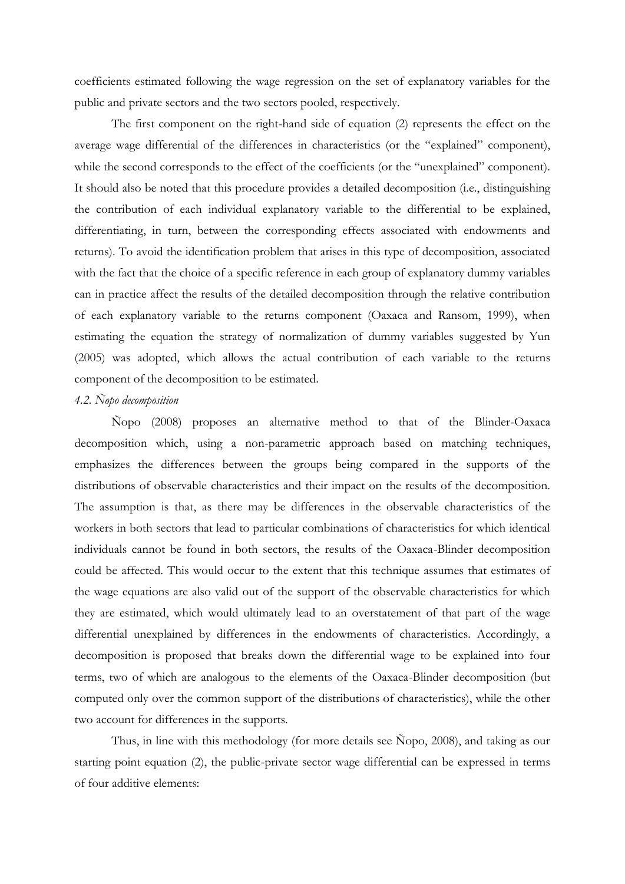coefficients estimated following the wage regression on the set of explanatory variables for the public and private sectors and the two sectors pooled, respectively.

The first component on the right-hand side of equation (2) represents the effect on the average wage differential of the differences in characteristics (or the "explained" component), while the second corresponds to the effect of the coefficients (or the "unexplained" component). It should also be noted that this procedure provides a detailed decomposition (i.e., distinguishing the contribution of each individual explanatory variable to the differential to be explained, differentiating, in turn, between the corresponding effects associated with endowments and returns). To avoid the identification problem that arises in this type of decomposition, associated with the fact that the choice of a specific reference in each group of explanatory dummy variables can in practice affect the results of the detailed decomposition through the relative contribution of each explanatory variable to the returns component (Oaxaca and Ransom, 1999), when estimating the equation the strategy of normalization of dummy variables suggested by Yun (2005) was adopted, which allows the actual contribution of each variable to the returns component of the decomposition to be estimated.

## *4.2. Ñopo decomposition*

Ñopo (2008) proposes an alternative method to that of the Blinder-Oaxaca decomposition which, using a non-parametric approach based on matching techniques, emphasizes the differences between the groups being compared in the supports of the distributions of observable characteristics and their impact on the results of the decomposition. The assumption is that, as there may be differences in the observable characteristics of the workers in both sectors that lead to particular combinations of characteristics for which identical individuals cannot be found in both sectors, the results of the Oaxaca-Blinder decomposition could be affected. This would occur to the extent that this technique assumes that estimates of the wage equations are also valid out of the support of the observable characteristics for which they are estimated, which would ultimately lead to an overstatement of that part of the wage differential unexplained by differences in the endowments of characteristics. Accordingly, a decomposition is proposed that breaks down the differential wage to be explained into four terms, two of which are analogous to the elements of the Oaxaca-Blinder decomposition (but computed only over the common support of the distributions of characteristics), while the other two account for differences in the supports.

Thus, in line with this methodology (for more details see Ñopo, 2008), and taking as our starting point equation (2), the public-private sector wage differential can be expressed in terms of four additive elements: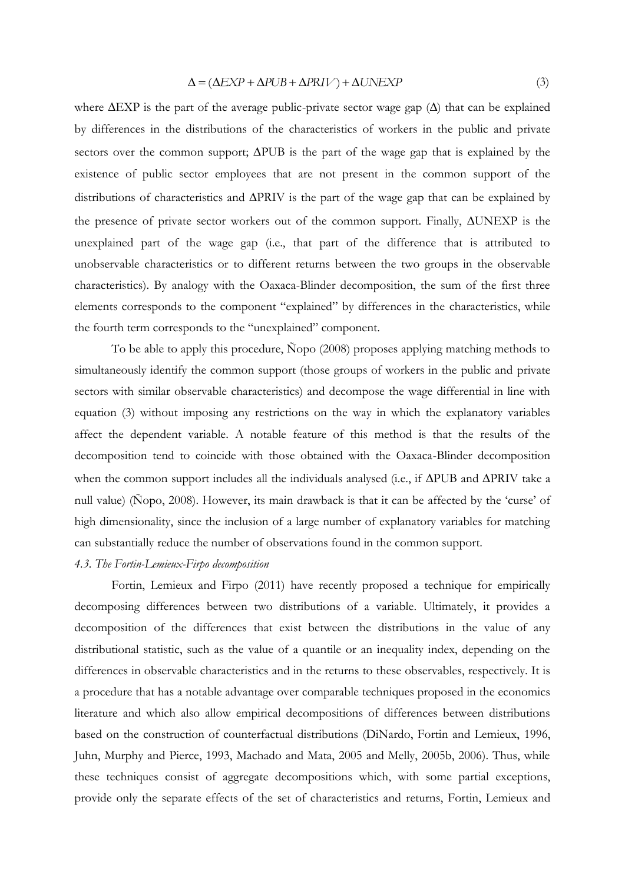#### $\Delta = (\Delta EXP + \Delta PUB + \Delta PRIV) + \Delta UNEXP$  (3)

where  $\triangle$ EXP is the part of the average public-private sector wage gap  $(\triangle)$  that can be explained by differences in the distributions of the characteristics of workers in the public and private sectors over the common support;  $\Delta$ PUB is the part of the wage gap that is explained by the existence of public sector employees that are not present in the common support of the distributions of characteristics and  $\Delta PRIV$  is the part of the wage gap that can be explained by the presence of private sector workers out of the common support. Finally, UNEXP is the unexplained part of the wage gap (i.e., that part of the difference that is attributed to unobservable characteristics or to different returns between the two groups in the observable characteristics). By analogy with the Oaxaca-Blinder decomposition, the sum of the first three elements corresponds to the component "explained" by differences in the characteristics, while the fourth term corresponds to the "unexplained" component.

To be able to apply this procedure, Ñopo (2008) proposes applying matching methods to simultaneously identify the common support (those groups of workers in the public and private sectors with similar observable characteristics) and decompose the wage differential in line with equation (3) without imposing any restrictions on the way in which the explanatory variables affect the dependent variable. A notable feature of this method is that the results of the decomposition tend to coincide with those obtained with the Oaxaca-Blinder decomposition when the common support includes all the individuals analysed (i.e., if  $\Delta \text{PUB}$  and  $\Delta \text{PRIV}$  take a null value) (Ñopo, 2008). However, its main drawback is that it can be affected by the 'curse' of high dimensionality, since the inclusion of a large number of explanatory variables for matching can substantially reduce the number of observations found in the common support.

#### *4.3. The Fortin-Lemieux-Firpo decomposition*

Fortin, Lemieux and Firpo (2011) have recently proposed a technique for empirically decomposing differences between two distributions of a variable. Ultimately, it provides a decomposition of the differences that exist between the distributions in the value of any distributional statistic, such as the value of a quantile or an inequality index, depending on the differences in observable characteristics and in the returns to these observables, respectively. It is a procedure that has a notable advantage over comparable techniques proposed in the economics literature and which also allow empirical decompositions of differences between distributions based on the construction of counterfactual distributions (DiNardo, Fortin and Lemieux, 1996, Juhn, Murphy and Pierce, 1993, Machado and Mata, 2005 and Melly, 2005b, 2006). Thus, while these techniques consist of aggregate decompositions which, with some partial exceptions, provide only the separate effects of the set of characteristics and returns, Fortin, Lemieux and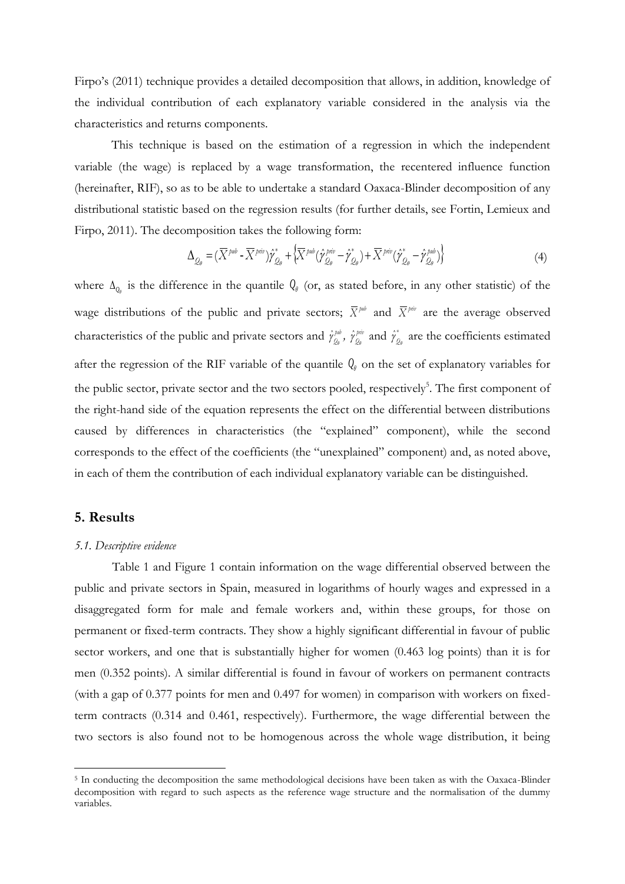Firpo's (2011) technique provides a detailed decomposition that allows, in addition, knowledge of the individual contribution of each explanatory variable considered in the analysis via the characteristics and returns components.

This technique is based on the estimation of a regression in which the independent variable (the wage) is replaced by a wage transformation, the recentered influence function (hereinafter, RIF), so as to be able to undertake a standard Oaxaca-Blinder decomposition of any distributional statistic based on the regression results (for further details, see Fortin, Lemieux and Firpo, 2011). The decomposition takes the following form:

$$
\Delta_{Q_{\theta}} = (\overline{X}^{\text{pub}} - \overline{X}^{\text{priv}}) \hat{\gamma}_{Q_{\theta}}^* + \left\{ \overline{X}^{\text{pub}} (\hat{\gamma}_{Q_{\theta}}^{\text{priv}} - \hat{\gamma}_{Q_{\theta}}^*) + \overline{X}^{\text{priv}} (\hat{\gamma}_{Q_{\theta}}^* - \hat{\gamma}_{Q_{\theta}}^{\text{pub}}) \right\}
$$
(4)

where  $\Delta_{Q_{\theta}}$  is the difference in the quantile  $Q_{\theta}$  (or, as stated before, in any other statistic) of the wage distributions of the public and private sectors;  $\bar{X}^{pwh}$  and  $\bar{X}^{pm}$  are the average observed characteristics of the public and private sectors and  $\hat{\gamma}_{0}^{pub}$  $\hat{\gamma}_{Q_{\theta}}^{pub}$ ,  $\hat{\gamma}_{Q_{\theta}}^{priv}$  $\hat{\gamma}_{Q_{\theta}}^{p_{\text{min}}}$  and  $\hat{\gamma}_{Q_{\theta}}^{*}$  are the coefficients estimated after the regression of the RIF variable of the quantile  $Q_{\theta}$  on the set of explanatory variables for the public sector, private sector and the two sectors pooled, respectively<sup>5</sup>. The first component of the right-hand side of the equation represents the effect on the differential between distributions caused by differences in characteristics (the "explained" component), while the second corresponds to the effect of the coefficients (the "unexplained" component) and, as noted above, in each of them the contribution of each individual explanatory variable can be distinguished.

## **5. Results**

 $\overline{a}$ 

#### *5.1. Descriptive evidence*

Table 1 and Figure 1 contain information on the wage differential observed between the public and private sectors in Spain, measured in logarithms of hourly wages and expressed in a disaggregated form for male and female workers and, within these groups, for those on permanent or fixed-term contracts. They show a highly significant differential in favour of public sector workers, and one that is substantially higher for women (0.463 log points) than it is for men (0.352 points). A similar differential is found in favour of workers on permanent contracts (with a gap of 0.377 points for men and 0.497 for women) in comparison with workers on fixedterm contracts (0.314 and 0.461, respectively). Furthermore, the wage differential between the two sectors is also found not to be homogenous across the whole wage distribution, it being

<sup>5</sup> In conducting the decomposition the same methodological decisions have been taken as with the Oaxaca-Blinder decomposition with regard to such aspects as the reference wage structure and the normalisation of the dummy variables.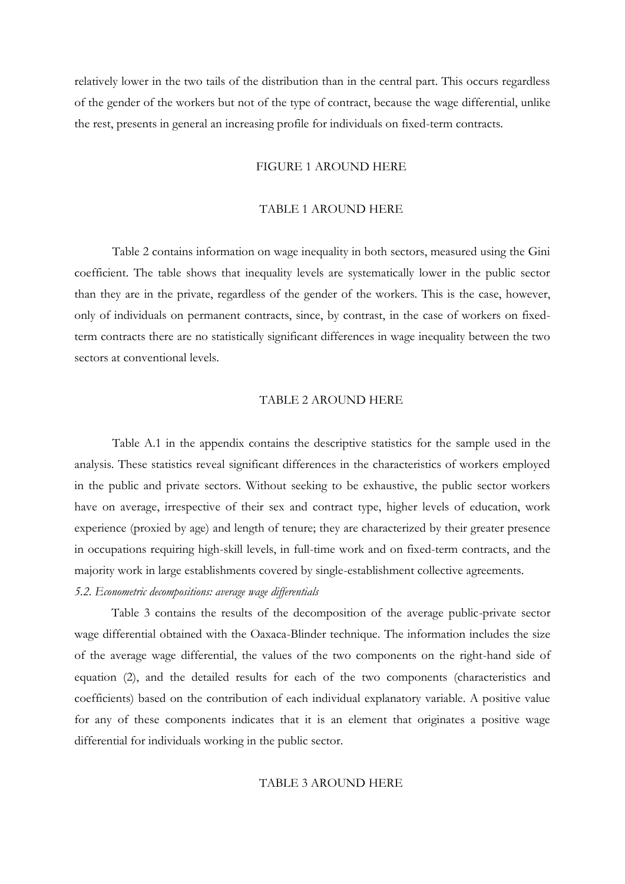relatively lower in the two tails of the distribution than in the central part. This occurs regardless of the gender of the workers but not of the type of contract, because the wage differential, unlike the rest, presents in general an increasing profile for individuals on fixed-term contracts.

#### FIGURE 1 AROUND HERE

#### TABLE 1 AROUND HERE

Table 2 contains information on wage inequality in both sectors, measured using the Gini coefficient. The table shows that inequality levels are systematically lower in the public sector than they are in the private, regardless of the gender of the workers. This is the case, however, only of individuals on permanent contracts, since, by contrast, in the case of workers on fixedterm contracts there are no statistically significant differences in wage inequality between the two sectors at conventional levels.

#### TABLE 2 AROUND HERE

Table A.1 in the appendix contains the descriptive statistics for the sample used in the analysis. These statistics reveal significant differences in the characteristics of workers employed in the public and private sectors. Without seeking to be exhaustive, the public sector workers have on average, irrespective of their sex and contract type, higher levels of education, work experience (proxied by age) and length of tenure; they are characterized by their greater presence in occupations requiring high-skill levels, in full-time work and on fixed-term contracts, and the majority work in large establishments covered by single-establishment collective agreements.

# *5.2. Econometric decompositions: average wage differentials*

Table 3 contains the results of the decomposition of the average public-private sector wage differential obtained with the Oaxaca-Blinder technique. The information includes the size of the average wage differential, the values of the two components on the right-hand side of equation (2), and the detailed results for each of the two components (characteristics and coefficients) based on the contribution of each individual explanatory variable. A positive value for any of these components indicates that it is an element that originates a positive wage differential for individuals working in the public sector.

#### TABLE 3 AROUND HERE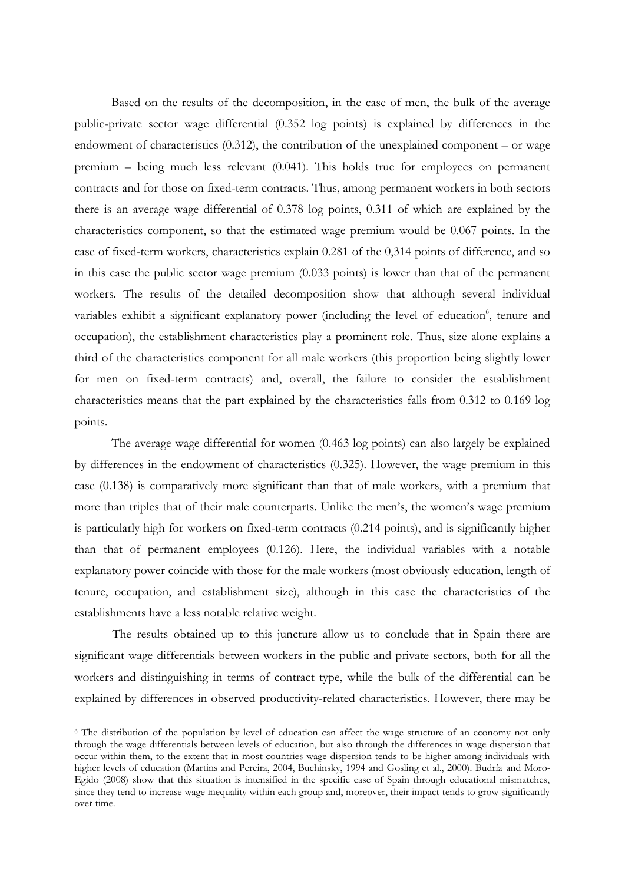Based on the results of the decomposition, in the case of men, the bulk of the average public-private sector wage differential (0.352 log points) is explained by differences in the endowment of characteristics (0.312), the contribution of the unexplained component – or wage premium – being much less relevant (0.041). This holds true for employees on permanent contracts and for those on fixed-term contracts. Thus, among permanent workers in both sectors there is an average wage differential of 0.378 log points, 0.311 of which are explained by the characteristics component, so that the estimated wage premium would be 0.067 points. In the case of fixed-term workers, characteristics explain 0.281 of the 0,314 points of difference, and so in this case the public sector wage premium (0.033 points) is lower than that of the permanent workers. The results of the detailed decomposition show that although several individual variables exhibit a significant explanatory power (including the level of education<sup>6</sup>, tenure and occupation), the establishment characteristics play a prominent role. Thus, size alone explains a third of the characteristics component for all male workers (this proportion being slightly lower for men on fixed-term contracts) and, overall, the failure to consider the establishment characteristics means that the part explained by the characteristics falls from 0.312 to 0.169 log points.

The average wage differential for women (0.463 log points) can also largely be explained by differences in the endowment of characteristics (0.325). However, the wage premium in this case (0.138) is comparatively more significant than that of male workers, with a premium that more than triples that of their male counterparts. Unlike the men's, the women's wage premium is particularly high for workers on fixed-term contracts (0.214 points), and is significantly higher than that of permanent employees (0.126). Here, the individual variables with a notable explanatory power coincide with those for the male workers (most obviously education, length of tenure, occupation, and establishment size), although in this case the characteristics of the establishments have a less notable relative weight.

The results obtained up to this juncture allow us to conclude that in Spain there are significant wage differentials between workers in the public and private sectors, both for all the workers and distinguishing in terms of contract type, while the bulk of the differential can be explained by differences in observed productivity-related characteristics. However, there may be

 $\overline{a}$ 

<sup>6</sup> The distribution of the population by level of education can affect the wage structure of an economy not only through the wage differentials between levels of education, but also through the differences in wage dispersion that occur within them, to the extent that in most countries wage dispersion tends to be higher among individuals with higher levels of education (Martins and Pereira, 2004, Buchinsky, 1994 and Gosling et al., 2000). Budría and Moro-Egido (2008) show that this situation is intensified in the specific case of Spain through educational mismatches, since they tend to increase wage inequality within each group and, moreover, their impact tends to grow significantly over time.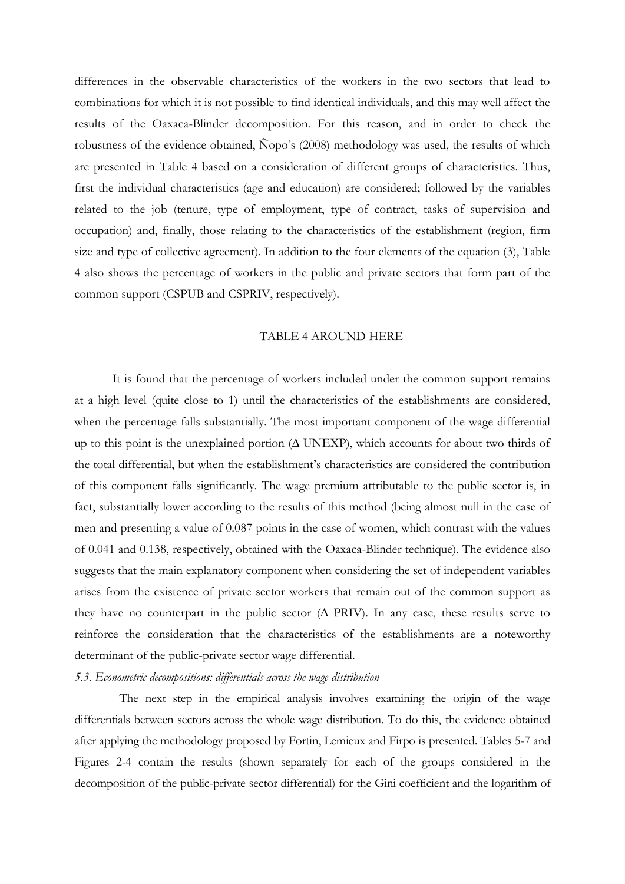differences in the observable characteristics of the workers in the two sectors that lead to combinations for which it is not possible to find identical individuals, and this may well affect the results of the Oaxaca-Blinder decomposition. For this reason, and in order to check the robustness of the evidence obtained, Ñopo's (2008) methodology was used, the results of which are presented in Table 4 based on a consideration of different groups of characteristics. Thus, first the individual characteristics (age and education) are considered; followed by the variables related to the job (tenure, type of employment, type of contract, tasks of supervision and occupation) and, finally, those relating to the characteristics of the establishment (region, firm size and type of collective agreement). In addition to the four elements of the equation (3), Table 4 also shows the percentage of workers in the public and private sectors that form part of the common support (CSPUB and CSPRIV, respectively).

#### TABLE 4 AROUND HERE

It is found that the percentage of workers included under the common support remains at a high level (quite close to 1) until the characteristics of the establishments are considered, when the percentage falls substantially. The most important component of the wage differential up to this point is the unexplained portion (∆ UNEXP), which accounts for about two thirds of the total differential, but when the establishment's characteristics are considered the contribution of this component falls significantly. The wage premium attributable to the public sector is, in fact, substantially lower according to the results of this method (being almost null in the case of men and presenting a value of 0.087 points in the case of women, which contrast with the values of 0.041 and 0.138, respectively, obtained with the Oaxaca-Blinder technique). The evidence also suggests that the main explanatory component when considering the set of independent variables arises from the existence of private sector workers that remain out of the common support as they have no counterpart in the public sector  $(\Delta$  PRIV). In any case, these results serve to reinforce the consideration that the characteristics of the establishments are a noteworthy determinant of the public-private sector wage differential.

#### *5.3. Econometric decompositions: differentials across the wage distribution*

 The next step in the empirical analysis involves examining the origin of the wage differentials between sectors across the whole wage distribution. To do this, the evidence obtained after applying the methodology proposed by Fortin, Lemieux and Firpo is presented. Tables 5-7 and Figures 2-4 contain the results (shown separately for each of the groups considered in the decomposition of the public-private sector differential) for the Gini coefficient and the logarithm of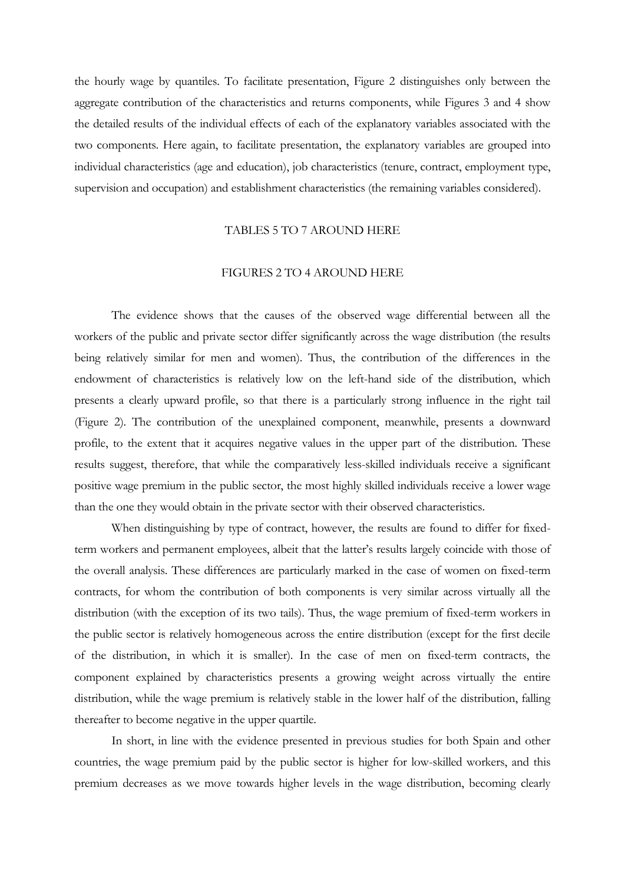the hourly wage by quantiles. To facilitate presentation, Figure 2 distinguishes only between the aggregate contribution of the characteristics and returns components, while Figures 3 and 4 show the detailed results of the individual effects of each of the explanatory variables associated with the two components. Here again, to facilitate presentation, the explanatory variables are grouped into individual characteristics (age and education), job characteristics (tenure, contract, employment type, supervision and occupation) and establishment characteristics (the remaining variables considered).

#### TABLES 5 TO 7 AROUND HERE

#### FIGURES 2 TO 4 AROUND HERE

The evidence shows that the causes of the observed wage differential between all the workers of the public and private sector differ significantly across the wage distribution (the results being relatively similar for men and women). Thus, the contribution of the differences in the endowment of characteristics is relatively low on the left-hand side of the distribution, which presents a clearly upward profile, so that there is a particularly strong influence in the right tail (Figure 2). The contribution of the unexplained component, meanwhile, presents a downward profile, to the extent that it acquires negative values in the upper part of the distribution. These results suggest, therefore, that while the comparatively less-skilled individuals receive a significant positive wage premium in the public sector, the most highly skilled individuals receive a lower wage than the one they would obtain in the private sector with their observed characteristics.

When distinguishing by type of contract, however, the results are found to differ for fixedterm workers and permanent employees, albeit that the latter's results largely coincide with those of the overall analysis. These differences are particularly marked in the case of women on fixed-term contracts, for whom the contribution of both components is very similar across virtually all the distribution (with the exception of its two tails). Thus, the wage premium of fixed-term workers in the public sector is relatively homogeneous across the entire distribution (except for the first decile of the distribution, in which it is smaller). In the case of men on fixed-term contracts, the component explained by characteristics presents a growing weight across virtually the entire distribution, while the wage premium is relatively stable in the lower half of the distribution, falling thereafter to become negative in the upper quartile.

In short, in line with the evidence presented in previous studies for both Spain and other countries, the wage premium paid by the public sector is higher for low-skilled workers, and this premium decreases as we move towards higher levels in the wage distribution, becoming clearly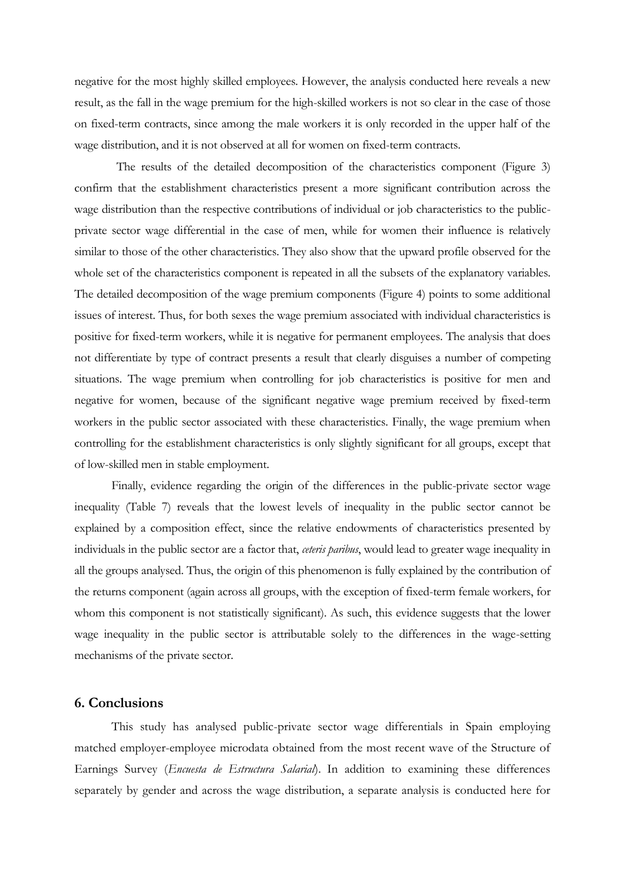negative for the most highly skilled employees. However, the analysis conducted here reveals a new result, as the fall in the wage premium for the high-skilled workers is not so clear in the case of those on fixed-term contracts, since among the male workers it is only recorded in the upper half of the wage distribution, and it is not observed at all for women on fixed-term contracts.

 The results of the detailed decomposition of the characteristics component (Figure 3) confirm that the establishment characteristics present a more significant contribution across the wage distribution than the respective contributions of individual or job characteristics to the publicprivate sector wage differential in the case of men, while for women their influence is relatively similar to those of the other characteristics. They also show that the upward profile observed for the whole set of the characteristics component is repeated in all the subsets of the explanatory variables. The detailed decomposition of the wage premium components (Figure 4) points to some additional issues of interest. Thus, for both sexes the wage premium associated with individual characteristics is positive for fixed-term workers, while it is negative for permanent employees. The analysis that does not differentiate by type of contract presents a result that clearly disguises a number of competing situations. The wage premium when controlling for job characteristics is positive for men and negative for women, because of the significant negative wage premium received by fixed-term workers in the public sector associated with these characteristics. Finally, the wage premium when controlling for the establishment characteristics is only slightly significant for all groups, except that of low-skilled men in stable employment.

Finally, evidence regarding the origin of the differences in the public-private sector wage inequality (Table 7) reveals that the lowest levels of inequality in the public sector cannot be explained by a composition effect, since the relative endowments of characteristics presented by individuals in the public sector are a factor that, *ceteris paribus*, would lead to greater wage inequality in all the groups analysed. Thus, the origin of this phenomenon is fully explained by the contribution of the returns component (again across all groups, with the exception of fixed-term female workers, for whom this component is not statistically significant). As such, this evidence suggests that the lower wage inequality in the public sector is attributable solely to the differences in the wage-setting mechanisms of the private sector.

#### **6. Conclusions**

This study has analysed public-private sector wage differentials in Spain employing matched employer-employee microdata obtained from the most recent wave of the Structure of Earnings Survey (*Encuesta de Estructura Salarial*). In addition to examining these differences separately by gender and across the wage distribution, a separate analysis is conducted here for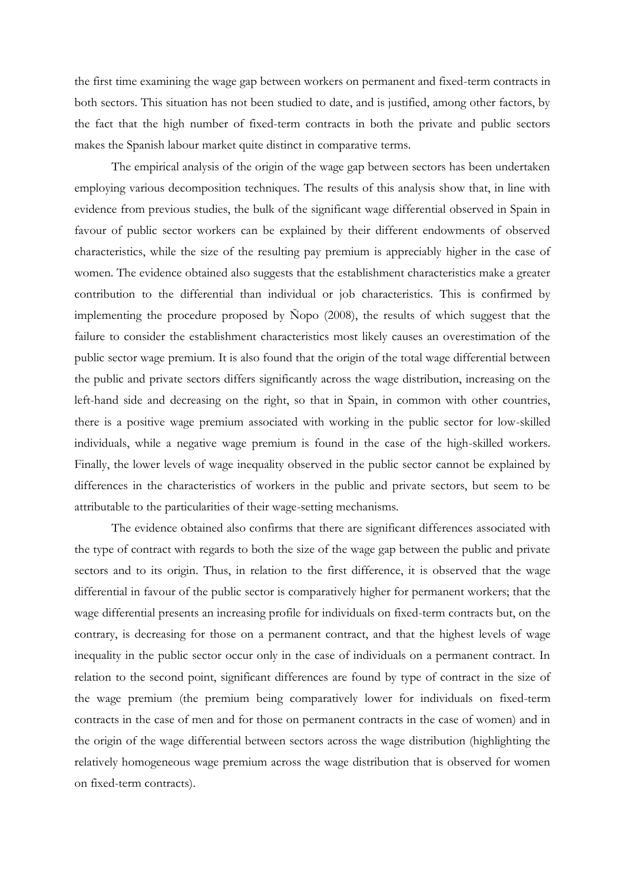the first time examining the wage gap between workers on permanent and fixed-term contracts in both sectors. This situation has not been studied to date, and is justified, among other factors, by the fact that the high number of fixed-term contracts in both the private and public sectors makes the Spanish labour market quite distinct in comparative terms.

The empirical analysis of the origin of the wage gap between sectors has been undertaken employing various decomposition techniques. The results of this analysis show that, in line with evidence from previous studies, the bulk of the significant wage differential observed in Spain in favour of public sector workers can be explained by their different endowments of observed characteristics, while the size of the resulting pay premium is appreciably higher in the case of women. The evidence obtained also suggests that the establishment characteristics make a greater contribution to the differential than individual or job characteristics. This is confirmed by implementing the procedure proposed by Ñopo (2008), the results of which suggest that the failure to consider the establishment characteristics most likely causes an overestimation of the public sector wage premium. It is also found that the origin of the total wage differential between the public and private sectors differs significantly across the wage distribution, increasing on the left-hand side and decreasing on the right, so that in Spain, in common with other countries, there is a positive wage premium associated with working in the public sector for low-skilled individuals, while a negative wage premium is found in the case of the high-skilled workers. Finally, the lower levels of wage inequality observed in the public sector cannot be explained by differences in the characteristics of workers in the public and private sectors, but seem to be attributable to the particularities of their wage-setting mechanisms.

The evidence obtained also confirms that there are significant differences associated with the type of contract with regards to both the size of the wage gap between the public and private sectors and to its origin. Thus, in relation to the first difference, it is observed that the wage differential in favour of the public sector is comparatively higher for permanent workers; that the wage differential presents an increasing profile for individuals on fixed-term contracts but, on the contrary, is decreasing for those on a permanent contract, and that the highest levels of wage inequality in the public sector occur only in the case of individuals on a permanent contract. In relation to the second point, significant differences are found by type of contract in the size of the wage premium (the premium being comparatively lower for individuals on fixed-term contracts in the case of men and for those on permanent contracts in the case of women) and in the origin of the wage differential between sectors across the wage distribution (highlighting the relatively homogeneous wage premium across the wage distribution that is observed for women on fixed-term contracts).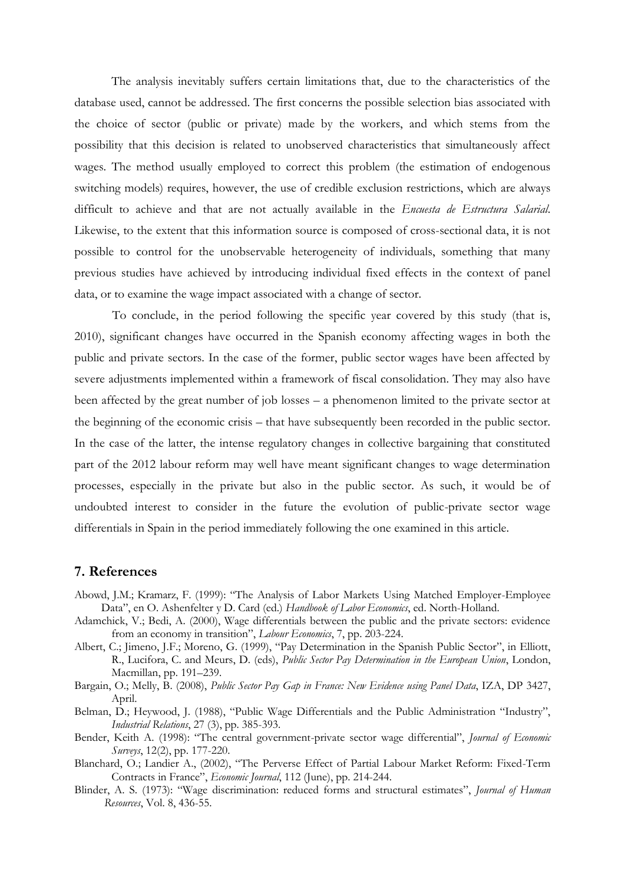The analysis inevitably suffers certain limitations that, due to the characteristics of the database used, cannot be addressed. The first concerns the possible selection bias associated with the choice of sector (public or private) made by the workers, and which stems from the possibility that this decision is related to unobserved characteristics that simultaneously affect wages. The method usually employed to correct this problem (the estimation of endogenous switching models) requires, however, the use of credible exclusion restrictions, which are always difficult to achieve and that are not actually available in the *Encuesta de Estructura Salarial*. Likewise, to the extent that this information source is composed of cross-sectional data, it is not possible to control for the unobservable heterogeneity of individuals, something that many previous studies have achieved by introducing individual fixed effects in the context of panel data, or to examine the wage impact associated with a change of sector.

To conclude, in the period following the specific year covered by this study (that is, 2010), significant changes have occurred in the Spanish economy affecting wages in both the public and private sectors. In the case of the former, public sector wages have been affected by severe adjustments implemented within a framework of fiscal consolidation. They may also have been affected by the great number of job losses – a phenomenon limited to the private sector at the beginning of the economic crisis – that have subsequently been recorded in the public sector. In the case of the latter, the intense regulatory changes in collective bargaining that constituted part of the 2012 labour reform may well have meant significant changes to wage determination processes, especially in the private but also in the public sector. As such, it would be of undoubted interest to consider in the future the evolution of public-private sector wage differentials in Spain in the period immediately following the one examined in this article.

#### **7. References**

- Abowd, J.M.; Kramarz, F. (1999): "The Analysis of Labor Markets Using Matched Employer-Employee Data", en O. Ashenfelter y D. Card (ed.) *Handbook of Labor Economics*, ed. North-Holland.
- Adamchick, V.; Bedi, A. (2000), Wage differentials between the public and the private sectors: evidence from an economy in transition", *Labour Economics*, 7, pp. 203-224.
- Albert, C.; Jimeno, J.F.; Moreno, G. (1999), "Pay Determination in the Spanish Public Sector", in Elliott, R., Lucifora, C. and Meurs, D. (eds), *Public Sector Pay Determination in the European Union*, London, Macmillan, pp. 191–239.
- Bargain, O.; Melly, B. (2008), *Public Sector Pay Gap in France: New Evidence using Panel Data*, IZA, DP 3427, April.
- Belman, D.; Heywood, J. (1988), "Public Wage Differentials and the Public Administration "Industry", *Industrial Relations*, 27 (3), pp. 385-393.
- Bender, Keith A. (1998): "The central government-private sector wage differential", *Journal of Economic Surveys*, 12(2), pp. 177-220.
- Blanchard, O.; Landier A., (2002), "The Perverse Effect of Partial Labour Market Reform: Fixed-Term Contracts in France", *Economic Journal*, 112 (June), pp. 214-244.
- Blinder, A. S. (1973): "Wage discrimination: reduced forms and structural estimates", *Journal of Human Resources*, Vol. 8, 436-55.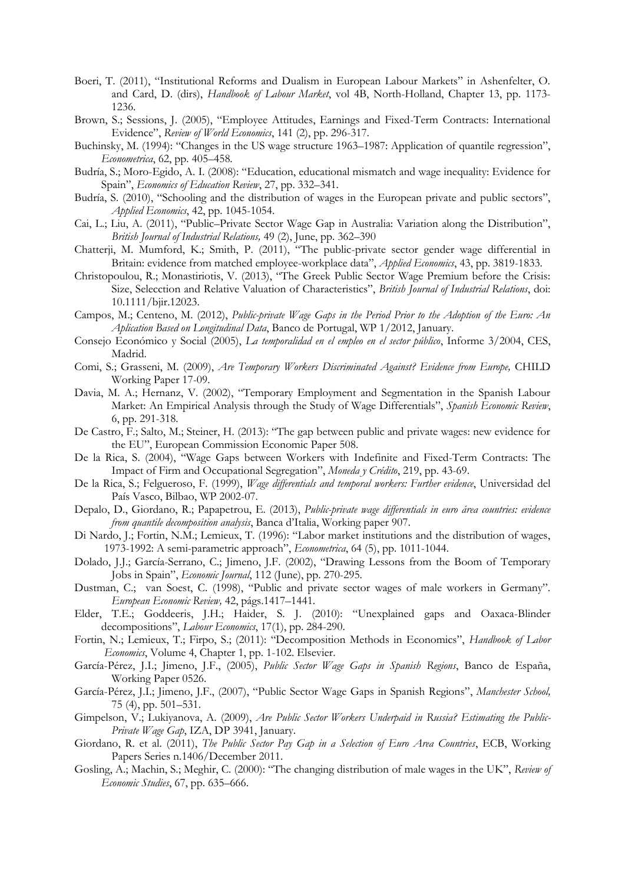- Boeri, T. (2011), "Institutional Reforms and Dualism in European Labour Markets" in Ashenfelter, O. and Card, D. (dirs), *Handbook of Labour Market*, vol 4B, North-Holland, Chapter 13, pp. 1173- 1236.
- Brown, S.; Sessions, J. (2005), "Employee Attitudes, Earnings and Fixed-Term Contracts: International Evidence", *Review of World Economics*, 141 (2), pp. 296-317.
- Buchinsky, M. (1994): "Changes in the US wage structure 1963–1987: Application of quantile regression", *Econometrica*, 62, pp. 405–458.
- Budría, S.; Moro-Egido, A. I. (2008): "Education, educational mismatch and wage inequality: Evidence for Spain", *Economics of Education Review*, 27, pp. 332–341.
- Budría, S. (2010), "Schooling and the distribution of wages in the European private and public sectors", *Applied Economics*, 42, pp. 1045-1054.
- Cai, L.; Liu, A. (2011), "Public–Private Sector Wage Gap in Australia: Variation along the Distribution", *British Journal of Industrial Relations,* 49 (2), June, pp. 362–390
- Chatterji, M. Mumford, K.; Smith, P. (2011), "The public-private sector gender wage differential in Britain: evidence from matched employee-workplace data", *Applied Economics*, 43, pp. 3819-1833.
- Christopoulou, R.; Monastiriotis, V. (2013), "The Greek Public Sector Wage Premium before the Crisis: Size, Selecction and Relative Valuation of Characteristics", *British Journal of Industrial Relations*, doi: 10.1111/bjir.12023.
- Campos, M.; Centeno, M. (2012), *Public-private Wage Gaps in the Period Prior to the Adoption of the Euro: An Aplication Based on Longitudinal Data*, Banco de Portugal, WP 1/2012, January.
- Consejo Económico y Social (2005), *La temporalidad en el empleo en el sector público*, Informe 3/2004, CES, Madrid.
- Comi, S.; Grasseni, M. (2009), *Are Temporary Workers Discriminated Against? Evidence from Europe,* CHILD Working Paper 17-09.
- Davia, M. A.; Hernanz, V. (2002), "Temporary Employment and Segmentation in the Spanish Labour Market: An Empirical Analysis through the Study of Wage Differentials", *Spanish Economic Review*, 6, pp. 291-318.
- De Castro, F.; Salto, M.; Steiner, H. (2013): "The gap between public and private wages: new evidence for the EU", European Commission Economic Paper 508.
- De la Rica, S. (2004), "Wage Gaps between Workers with Indefinite and Fixed-Term Contracts: The Impact of Firm and Occupational Segregation", *Moneda y Crédito*, 219, pp. 43-69.
- De la Rica, S.; Felgueroso, F. (1999), *Wage differentials and temporal workers: Further evidence*, Universidad del País Vasco, Bilbao, WP 2002-07.
- Depalo, D., Giordano, R.; Papapetrou, E. (2013), *Public-private wage differentials in euro área countries: evidence from quantile decomposition analysis*, Banca d'Italia, Working paper 907.
- Di Nardo, J.; Fortin, N.M.; Lemieux, T. (1996): "Labor market institutions and the distribution of wages, 1973-1992: A semi-parametric approach", *Econometrica*, 64 (5), pp. 1011-1044.
- Dolado, J.J.; García-Serrano, C.; Jimeno, J.F. (2002), "Drawing Lessons from the Boom of Temporary Jobs in Spain", *Economic Journal*, 112 (June), pp. 270-295.
- Dustman, C.; van Soest, C. (1998), "Public and private sector wages of male workers in Germany". *European Economic Review,* 42, págs.1417–1441.
- Elder, T.E.; Goddeeris, J.H.; Haider, S. J. (2010): "Unexplained gaps and Oaxaca-Blinder decompositions", *Labour Economics*, 17(1), pp. 284-290.
- Fortin, N.; Lemieux, T.; Firpo, S.; (2011): "Decomposition Methods in Economics", *Handbook of Labor Economics*, Volume 4, Chapter 1, pp. 1-102. Elsevier.
- García-Pérez, J.I.; Jimeno, J.F., (2005), *Public Sector Wage Gaps in Spanish Regions*, Banco de España, Working Paper 0526.
- García-Pérez, J.I.; Jimeno, J.F., (2007), "Public Sector Wage Gaps in Spanish Regions", *Manchester School,*  75 (4), pp. 501–531.
- Gimpelson, V.; Lukiyanova, A. (2009), *Are Public Sector Workers Underpaid in Russia? Estimating the Public-Private Wage Gap*, IZA, DP 3941, January.
- Giordano, R. et al. (2011), *The Public Sector Pay Gap in a Selection of Euro Area Countries*, ECB, Working Papers Series n.1406/December 2011.
- Gosling, A.; Machin, S.; Meghir, C. (2000): "The changing distribution of male wages in the UK", *Review of Economic Studies*, 67, pp. 635–666.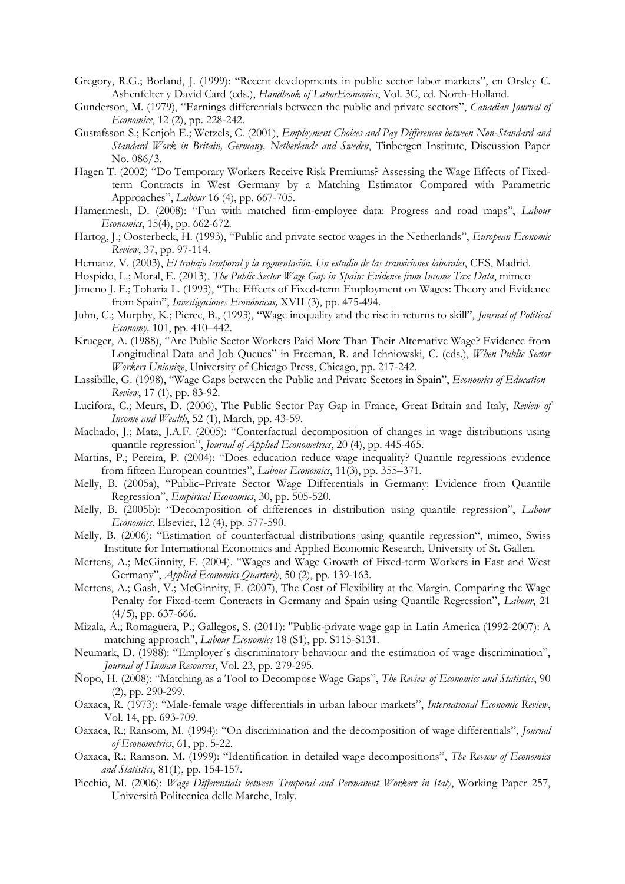- Gregory, R.G.; Borland, J. (1999): "Recent developments in public sector labor markets", en Orsley C. Ashenfelter y David Card (eds.), *Handbook of LaborEconomics*, Vol. 3C, ed. North-Holland.
- Gunderson, M. (1979), "Earnings differentials between the public and private sectors", *Canadian Journal of Economics*, 12 (2), pp. 228-242.
- Gustafsson S.; Kenjoh E.; Wetzels, C. (2001), *Employment Choices and Pay Differences between Non-Standard and Standard Work in Britain, Germany, Netherlands and Sweden*, Tinbergen Institute, Discussion Paper No. 086/3.
- Hagen T. (2002) "Do Temporary Workers Receive Risk Premiums? Assessing the Wage Effects of Fixedterm Contracts in West Germany by a Matching Estimator Compared with Parametric Approaches", *Labour* 16 (4), pp. 667-705.
- Hamermesh, D. (2008): "Fun with matched firm-employee data: Progress and road maps", *Labour Economics*, 15(4), pp. 662-672.
- Hartog, J.; Oosterbeck, H. (1993), "Public and private sector wages in the Netherlands", *European Economic Review*, 37, pp. 97-114.
- Hernanz, V. (2003), *El trabajo temporal y la segmentación. Un estudio de las transiciones laborales*, CES, Madrid.
- Hospido, L.; Moral, E. (2013), *The Public Sector Wage Gap in Spain: Evidence from Income Tax Data*, mimeo
- Jimeno J. F.; Toharia L. (1993), "The Effects of Fixed-term Employment on Wages: Theory and Evidence from Spain", *Investigaciones Económicas,* XVII (3), pp. 475-494.
- Juhn, C.; Murphy, K.; Pierce, B., (1993), "Wage inequality and the rise in returns to skill", *Journal of Political Economy,* 101, pp. 410–442.
- Krueger, A. (1988), "Are Public Sector Workers Paid More Than Their Alternative Wage? Evidence from Longitudinal Data and Job Queues" in Freeman, R. and Ichniowski, C. (eds.), *When Public Sector Workers Unionize*, University of Chicago Press, Chicago, pp. 217-242.
- Lassibille, G. (1998), "Wage Gaps between the Public and Private Sectors in Spain", *Economics of Education Review*, 17 (1), pp. 83-92.
- Lucifora, C.; Meurs, D. (2006), The Public Sector Pay Gap in France, Great Britain and Italy, *Review of Income and Wealth*, 52 (1), March, pp. 43-59.
- Machado, J.; Mata, J.A.F. (2005): "Conterfactual decomposition of changes in wage distributions using quantile regression", *Journal of Applied Econometrics*, 20 (4), pp. 445-465.
- Martins, P.; Pereira, P. (2004): "Does education reduce wage inequality? Quantile regressions evidence from fifteen European countries", *Labour Economics*, 11(3), pp. 355–371.
- Melly, B. (2005a), "Public–Private Sector Wage Differentials in Germany: Evidence from Quantile Regression", *Empirical Economics*, 30, pp. 505-520.
- Melly, B. (2005b): "Decomposition of differences in distribution using quantile regression", *Labour Economics*, Elsevier, 12 (4), pp. 577-590.
- Melly, B. (2006): "Estimation of counterfactual distributions using quantile regression", mimeo, Swiss Institute for International Economics and Applied Economic Research, University of St. Gallen.
- Mertens, A.; McGinnity, F. (2004). "Wages and Wage Growth of Fixed-term Workers in East and West Germany", *Applied Economics Quarterly*, 50 (2), pp. 139-163.
- Mertens, A.; Gash, V.; McGinnity, F. (2007), The Cost of Flexibility at the Margin. Comparing the Wage Penalty for Fixed-term Contracts in Germany and Spain using Quantile Regression", *Labour*, 21 (4/5), pp. 637-666.
- Mizala, A.; Romaguera, P.; Gallegos, S. (2011): "Public-private wage gap in Latin America (1992-2007): A matching approach", *Labour Economics* 18 (S1), pp. S115-S131.
- Neumark, D. (1988): "Employer´s discriminatory behaviour and the estimation of wage discrimination", *Journal of Human Resources*, Vol. 23, pp. 279-295.
- Ñopo, H. (2008): "Matching as a Tool to Decompose Wage Gaps", *The Review of Economics and Statistics*, 90 (2), pp. 290-299.
- Oaxaca, R. (1973): "Male-female wage differentials in urban labour markets", *International Economic Review*, Vol. 14, pp. 693-709.
- Oaxaca, R.; Ransom, M. (1994): "On discrimination and the decomposition of wage differentials", *Journal of Econometrics*, 61, pp. 5-22.
- Oaxaca, R.; Ramson, M. (1999): "Identification in detailed wage decompositions", *The Review of Economics and Statistics*, 81(1), pp. 154-157.
- Picchio, M. (2006): *Wage Differentials between Temporal and Permanent Workers in Italy*, Working Paper 257, Università Politecnica delle Marche, Italy.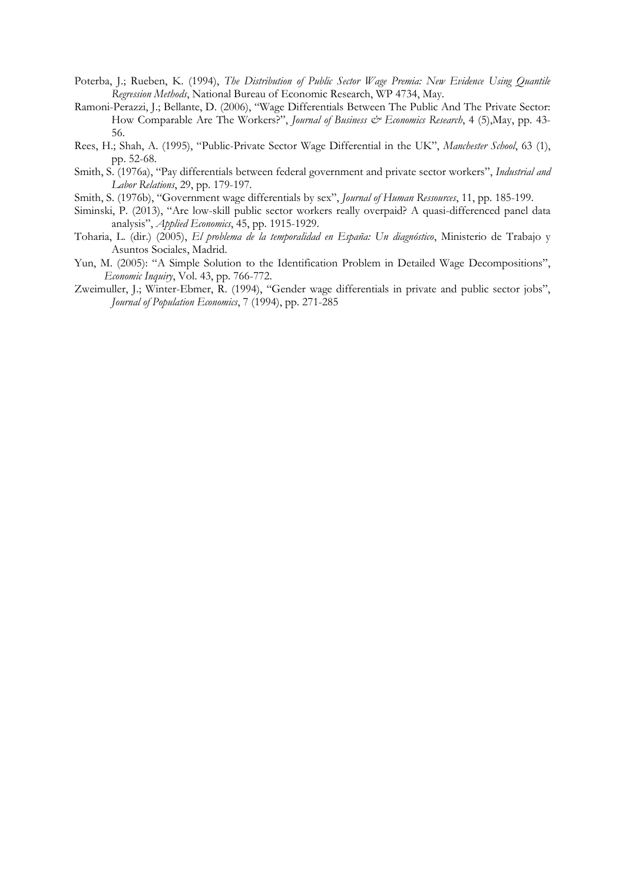- Poterba, J.; Rueben, K. (1994), *The Distribution of Public Sector Wage Premia: New Evidence Using Quantile Regression Methods*, National Bureau of Economic Research, WP 4734, May.
- Ramoni-Perazzi, J.; Bellante, D. (2006), "Wage Differentials Between The Public And The Private Sector: How Comparable Are The Workers?", *Journal of Business & Economics Research*, 4 (5), May, pp. 43-56.
- Rees, H.; Shah, A. (1995), "Public-Private Sector Wage Differential in the UK", *Manchester School*, 63 (1), pp. 52-68.
- Smith, S. (1976a), "Pay differentials between federal government and private sector workers", *Industrial and Labor Relations*, 29, pp. 179-197.
- Smith, S. (1976b), "Government wage differentials by sex", *Journal of Human Ressources*, 11, pp. 185-199.
- Siminski, P. (2013), "Are low-skill public sector workers really overpaid? A quasi-differenced panel data analysis", *Applied Economics*, 45, pp. 1915-1929.
- Toharia, L. (dir.) (2005), *El problema de la temporalidad en España: Un diagnóstico*, Ministerio de Trabajo y Asuntos Sociales, Madrid.
- Yun, M. (2005): "A Simple Solution to the Identification Problem in Detailed Wage Decompositions", *Economic Inquiry*, Vol. 43, pp. 766-772.
- Zweimuller, J.; Winter-Ebmer, R. (1994), "Gender wage differentials in private and public sector jobs", *Journal of Population Economics*, 7 (1994), pp. 271-285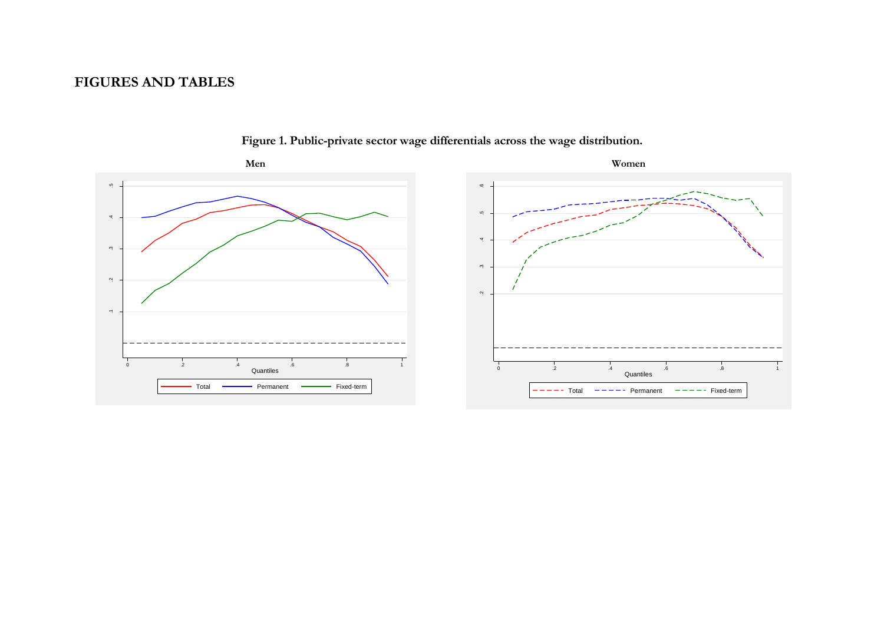# **FIGURES AND TABLES**



**Figure 1. Public-private sector wage differentials across the wage distribution.**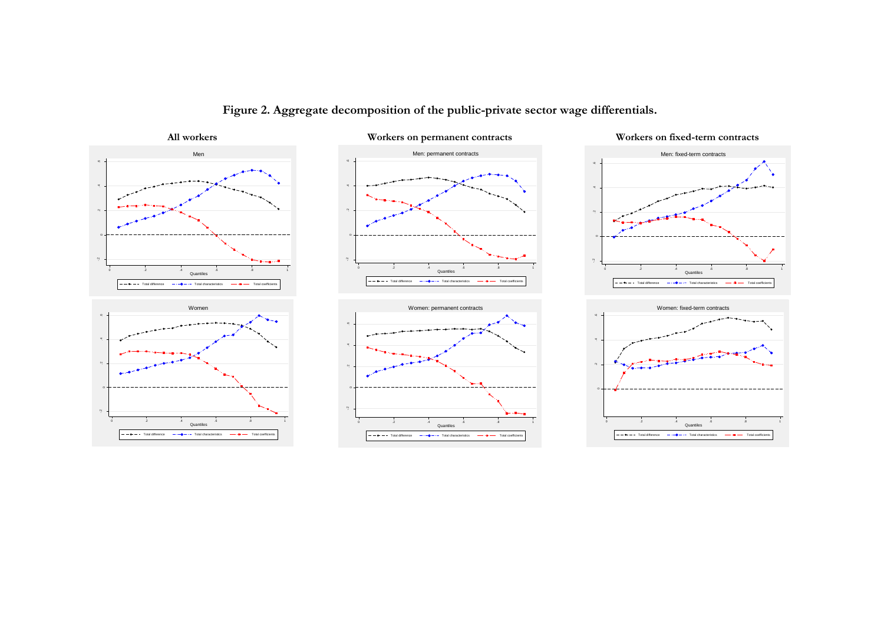

# **Figure 2. Aggregate decomposition of the public-private sector wage differentials.**

Difference in the logarithm of the hourly wage

Difference in the logarithm of the hourly wage

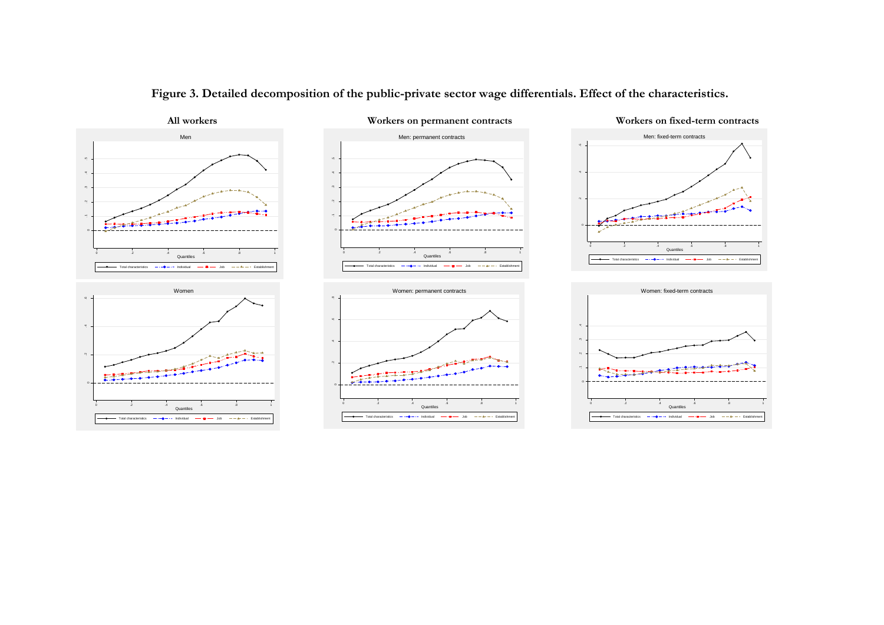

**Figure 3. Detailed decomposition of the public-private sector wage differentials. Effect of the characteristics.**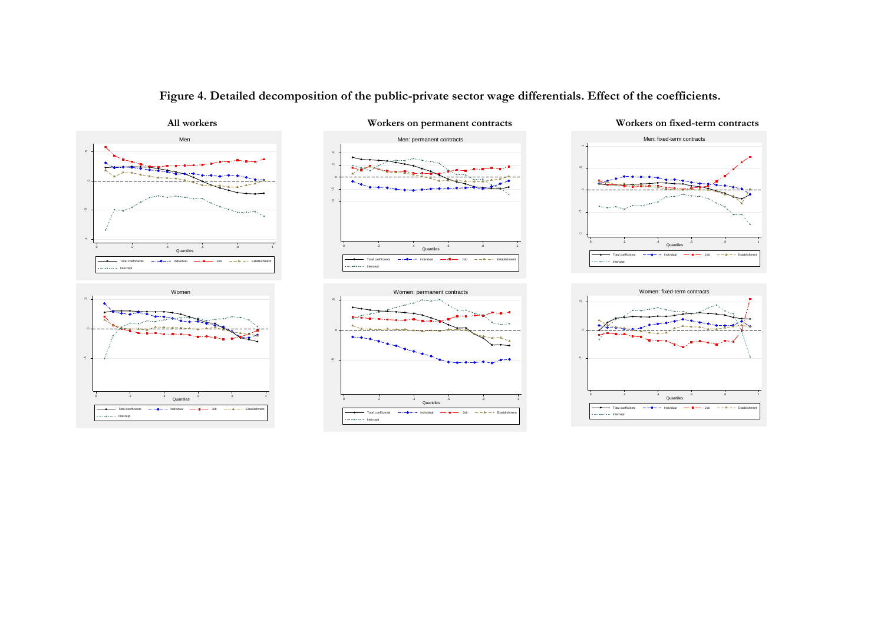

# **Figure 4. Detailed decomposition of the public-private sector wage differentials. Effect of the coefficients.**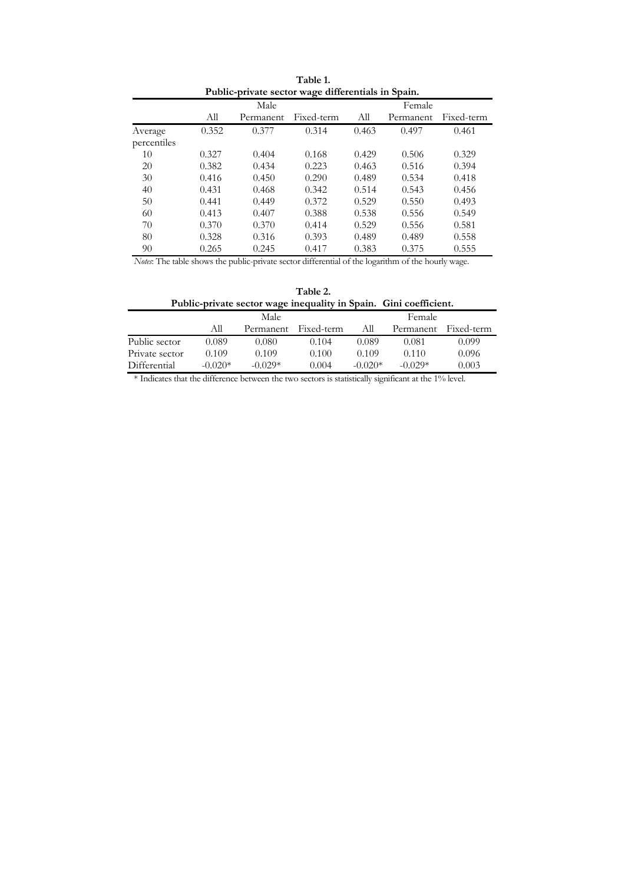|             |       | т ирис-ритак эсског wage unicremials in оранн. |            |        |           |            |  |  |  |  |
|-------------|-------|------------------------------------------------|------------|--------|-----------|------------|--|--|--|--|
|             |       | Male                                           |            | Female |           |            |  |  |  |  |
|             | All   | Permanent                                      | Fixed-term | All    | Permanent | Fixed-term |  |  |  |  |
| Average     | 0.352 | 0.377                                          | 0.314      | 0.463  | 0.497     | 0.461      |  |  |  |  |
| percentiles |       |                                                |            |        |           |            |  |  |  |  |
| 10          | 0.327 | 0.404                                          | 0.168      | 0.429  | 0.506     | 0.329      |  |  |  |  |
| 20          | 0.382 | 0.434                                          | 0.223      | 0.463  | 0.516     | 0.394      |  |  |  |  |
| 30          | 0.416 | 0.450                                          | 0.290      | 0.489  | 0.534     | 0.418      |  |  |  |  |
| 40          | 0.431 | 0.468                                          | 0.342      | 0.514  | 0.543     | 0.456      |  |  |  |  |
| 50          | 0.441 | 0.449                                          | 0.372      | 0.529  | 0.550     | 0.493      |  |  |  |  |
| 60          | 0.413 | 0.407                                          | 0.388      | 0.538  | 0.556     | 0.549      |  |  |  |  |
| 70          | 0.370 | 0.370                                          | 0.414      | 0.529  | 0.556     | 0.581      |  |  |  |  |
| 80          | 0.328 | 0.316                                          | 0.393      | 0.489  | 0.489     | 0.558      |  |  |  |  |
| 90          | 0.265 | 0.245                                          | 0.417      | 0.383  | 0.375     | 0.555      |  |  |  |  |

**Table 1. Public-private sector wage differentials in Spain.**

*Notes*: The table shows the public-private sector differential of the logarithm of the hourly wage.

|                                                                   | Table 2.  |           |            |           |           |            |  |  |  |  |  |  |  |
|-------------------------------------------------------------------|-----------|-----------|------------|-----------|-----------|------------|--|--|--|--|--|--|--|
| Public-private sector wage inequality in Spain. Gini coefficient. |           |           |            |           |           |            |  |  |  |  |  |  |  |
|                                                                   |           |           | Female     |           |           |            |  |  |  |  |  |  |  |
|                                                                   | All       | Permanent | Fixed-term | All       | Permanent | Fixed-term |  |  |  |  |  |  |  |
| Public sector                                                     | 0.089     | 0.080     | 0.104      | 0.089     | 0.081     | 0.099      |  |  |  |  |  |  |  |
| Private sector                                                    | 0.109     | 0.109     | 0.100      | 0.109     | 0.110     | 0.096      |  |  |  |  |  |  |  |
| Differential                                                      | $-0.020*$ | $-0.029*$ | 0.004      | $-0.020*$ | $-0.029*$ | 0.003      |  |  |  |  |  |  |  |

\* Indicates that the difference between the two sectors is statistically significant at the 1% level.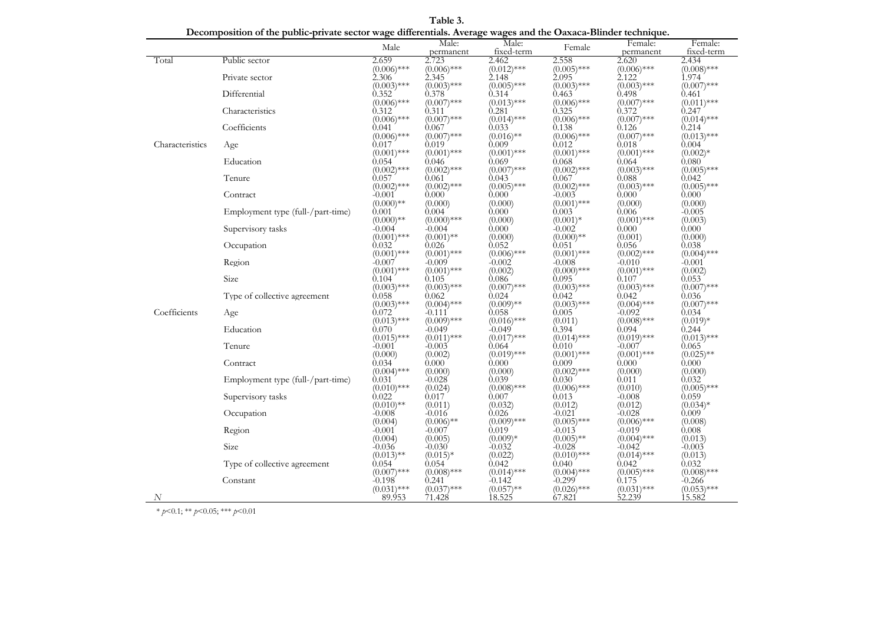|                 | Decomposition of the public-private sector wage differentials. Average wages and the Oaxaca-Blinder technique. |                         |                     |                        |                           |                           |                        |
|-----------------|----------------------------------------------------------------------------------------------------------------|-------------------------|---------------------|------------------------|---------------------------|---------------------------|------------------------|
|                 |                                                                                                                | Male                    | Male:<br>permanent  | Male:<br>fixed-term    | Female                    | Female:<br>permanent      | Female:<br>fixed-term  |
| Total           | Public sector                                                                                                  | 2.659                   | 2.723               | 2.462                  | 2.558                     | 2.620                     | 2.434                  |
|                 |                                                                                                                | $(0.006)$ ***           | $(0.006)$ ***       | $(0.012)$ ***          | $(0.005)$ ***             | $(0.006)$ ***             | $(0.008)$ ***          |
|                 | Private sector                                                                                                 | 2.306                   | 2.345               | 2.148                  | 2.095                     | 2.122                     | 1.974                  |
|                 |                                                                                                                | $(0.003)$ ***           | $(0.003)$ ***       | $(0.005)$ ***          | $(0.003)$ ***             | $(0.003)$ ***             | $(0.007)$ ***          |
|                 | Differential                                                                                                   | 0.352                   | 0.378               | 0.314                  | 0.463                     | 0.498                     | 0.461                  |
|                 |                                                                                                                | $(0.006)$ ***           | $(0.007)$ ***       | $(0.013)$ ***          | $(0.006)$ ***             | $(0.007)$ ***             | $(0.011)$ ***          |
|                 | Characteristics                                                                                                | 0.312                   | 0.311               | 0.281                  | 0.325                     | 0.372                     | 0.247                  |
|                 |                                                                                                                | $(0.006)$ ***           | $(0.007)$ ***       | $(0.014)$ ***          | $(0.006)$ ***             | $(0.007)$ ***             | $(0.014)$ ***          |
|                 | Coefficients                                                                                                   | 0.041                   | 0.067               | 0.033                  | 0.138                     | 0.126                     | 0.214                  |
|                 |                                                                                                                | $(0.006)$ ***           | $(0.007)$ ***       | $(0.016)$ **           | $(0.006)$ ***             | $(0.007)$ ***             | $(0.013)$ ***          |
| Characteristics | Age                                                                                                            | 0.017                   | 0.019               | 0.009                  | 0.012                     | 0.018                     | 0.004                  |
|                 |                                                                                                                | $(0.001)$ ***           | $(0.001)$ ***       | $(0.001)$ ***          | $(0.001)$ ***             | $(0.001)$ ***             | $(0.002)*$             |
|                 | Education                                                                                                      | 0.054                   | 0.046               | 0.069                  | 0.068                     | 0.064                     | 0.080                  |
|                 |                                                                                                                | $(0.002)$ ***           | $(0.002)$ ***       | $(0.007)$ ***          | $(0.002)$ ***             | $(0.003)$ ***             | $(0.005)$ ***          |
|                 | Tenure                                                                                                         | 0.057                   | 0.061               | 0.043                  | 0.067                     | 0.088                     | 0.042                  |
|                 | Contract                                                                                                       | $(0.002)$ ***           | $(0.002)$ ***       | $(0.005)$ ***<br>0.000 | $(0.002)$ ***             | $(0.003)$ ***             | $(0.005)$ ***<br>0.000 |
|                 |                                                                                                                | $-0.001$<br>$(0.000)**$ | 0.000<br>(0.000)    | (0.000)                | $-0.003$<br>$(0.001)$ *** | 0.000<br>(0.000)          | (0.000)                |
|                 | Employment type (full-/part-time)                                                                              | 0.001                   | 0.004               | 0.000                  | 0.003                     | 0.006                     | $-0.005$               |
|                 |                                                                                                                | $(0.000)**$             | $(0.000)$ ***       | (0.000)                | $(0.001)*$                | $(0.001)$ ***             | (0.003)                |
|                 | Supervisory tasks                                                                                              | $-0.004$                | $-0.004$            | 0.000                  | $-0.002$                  | 0.000                     | 0.000                  |
|                 |                                                                                                                | $(0.001)$ ***           | $(0.001)$ **        | (0.000)                | $(0.000)**$               | (0.001)                   | (0.000)                |
|                 | Occupation                                                                                                     | 0.032                   | 0.026               | 0.052                  | 0.051                     | 0.056                     | 0.038                  |
|                 |                                                                                                                | $(0.001)$ ***           | $(0.001)$ ***       | $(0.006)$ ***          | $(0.001)$ ***             | $(0.002)$ ***             | $(0.004)$ ***          |
|                 | Region                                                                                                         | $-0.007$                | $-0.009$            | $-0.002$               | $-0.008$                  | $-0.010$                  | $-0.001$               |
|                 |                                                                                                                | $(0.001)$ ***           | $(0.001)$ ***       | (0.002)                | $(0.000)$ ***             | $(0.001)$ ***             | (0.002)                |
|                 | Size                                                                                                           | 0.104                   | 0.105               | 0.086                  | 0.095                     | 0.107                     | 0.053                  |
|                 |                                                                                                                | $(0.003)$ ***           | $(0.003)$ ***       | $(0.007)$ ***          | $(0.003)$ ***             | $(0.003)$ ***             | $(0.007)$ ***          |
|                 | Type of collective agreement                                                                                   | 0.058                   | 0.062               | 0.024                  | 0.042                     | 0.042                     | 0.036                  |
|                 |                                                                                                                | $(0.003)$ ***           | $(0.004)$ ***       | $(0.009)$ **           | $(0.003)$ ***             | $(0.004)$ ***             | $(0.007)$ ***          |
| Coefficients    | Age                                                                                                            | 0.072                   | -0.111              | 0.058                  | 0.005                     | $-0.092$                  | 0.034                  |
|                 |                                                                                                                | $(0.013)$ ***           | $(0.009)$ ***       | $(0.016)$ ***          | (0.011)                   | $(0.008)$ ***             | $(0.019)*$             |
|                 | Education                                                                                                      | 0.070                   | $-0.049$            | $-0.049$               | 0.394                     | 0.094                     | 0.244                  |
|                 |                                                                                                                | $(0.015)$ ***           | $(0.011)$ ***       | $(0.017)$ ***          | $(0.014)$ ***             | $(0.019)$ ***             | $(0.013)$ ***          |
|                 | Tenure                                                                                                         | $-0.001$                | $-0.003$            | 0.064                  | 0.010                     | $-0.007$                  | 0.065                  |
|                 |                                                                                                                | (0.000)                 | (0.002)             | $(0.019)$ ***          | $(0.001)$ ***             | $(0.001)$ ***             | $(0.025)$ **           |
|                 | Contract                                                                                                       | 0.034                   | 0.000               | 0.000                  | 0.009                     | 0.000                     | 0.000                  |
|                 |                                                                                                                | $(0.004)$ ***           | (0.000)             | (0.000)                | $(0.002)$ ***             | (0.000)                   | (0.000)                |
|                 | Employment type (full-/part-time)                                                                              | 0.031                   | $-0.028$            | 0.039                  | 0.030                     | 0.011                     | 0.032                  |
|                 |                                                                                                                | $(0.010)$ ***           | (0.024)             | $(0.008)$ ***          | $(0.006)$ ***             | (0.010)                   | $(0.005)$ ***          |
|                 | Supervisory tasks                                                                                              | 0.022                   | 0.017               | 0.007                  | 0.013                     | $-0.008$                  | 0.059                  |
|                 |                                                                                                                | $(0.010)$ **            | (0.011)             | (0.032)                | (0.012)                   | (0.012)                   | $(0.034)*$             |
|                 | Occupation                                                                                                     | $-0.008$                | $-0.016$            | 0.026                  | $-0.021$                  | $-0.028$                  | 0.009                  |
|                 |                                                                                                                | (0.004)                 | $(0.006)$ **        | $(0.009)$ ***          | $(0.005)$ ***             | $(0.006)$ ***             | (0.008)                |
|                 | Region                                                                                                         | $-0.001$                | $-0.007$            | 0.019                  | $-0.013$                  | $-0.019$                  | 0.008                  |
|                 | Size                                                                                                           | (0.004)<br>$-0.036$     | (0.005)<br>$-0.030$ | $(0.009)*$<br>$-0.032$ | $(0.005)$ **<br>$-0.028$  | $(0.004)$ ***<br>$-0.042$ | (0.013)<br>$-0.003$    |
|                 |                                                                                                                | $(0.013)$ **            | $(0.015)*$          | (0.022)                | $(0.010)$ ***             | $(0.014)$ ***             | (0.013)                |
|                 | Type of collective agreement                                                                                   | 0.054                   | 0.054               | 0.042                  | 0.040                     | 0.042                     | 0.032                  |
|                 |                                                                                                                | $(0.007)$ ***           | $(0.008)$ ***       | $(0.014)$ ***          | $(0.004)$ ***             | $(0.005)$ ***             | $(0.008)$ ***          |
|                 | Constant                                                                                                       | $-0.198$                | 0.241               | $-0.142$               | $-0.299$                  | 0.175                     | $-0.266$               |
|                 |                                                                                                                | $(0.031)$ ***           | $(0.037)$ ***       | $(0.057)$ **           | $(0.026)$ ***             | $(0.031)$ ***             | $(0.053)$ ***          |
| N               |                                                                                                                | 89.953                  | 71.428              | 18.525                 | 67.821                    | 52.239                    | 15.582                 |

Table 3.<br>*ntials* Ave **Decomposition of the public-private sector wage differentials. Average wages and the Oaxaca-Blinder technique.**

\* *p*<0.1; \*\* *p*<0.05; \*\*\* *p*<0.01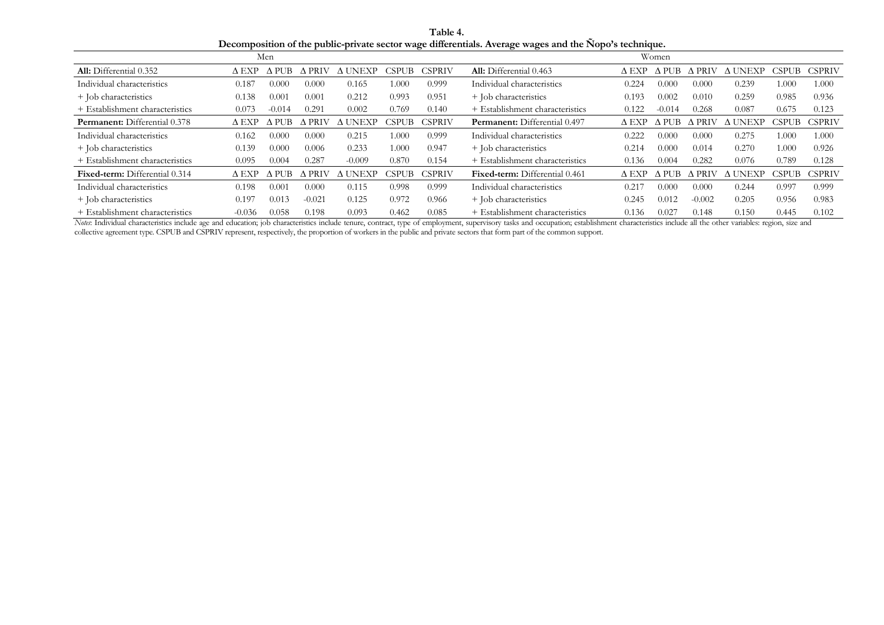| <b>Table 4.</b>                                                                                        |
|--------------------------------------------------------------------------------------------------------|
| Decomposition of the public-private sector wage differentials. Average wages and the Nopo's technique. |

|                                      |          |          | Women       |          |       |               |                                       |       |               |          |         |        |               |
|--------------------------------------|----------|----------|-------------|----------|-------|---------------|---------------------------------------|-------|---------------|----------|---------|--------|---------------|
| <b>All:</b> Differential 0.352       | A EXP    | . PUB-   | A PRIV      | Δ UNEXP  | CSPUB | <b>CSPRIV</b> | <b>All:</b> Differential 0.463        | A EXP | A PUB         | A PRIV   | A UNEXP | CSPUB  | <b>CSPRIV</b> |
| Individual characteristics           | 0.187    | 0.000    | 0.000       | 0.165    | 1.000 | 0.999         | Individual characteristics            | 0.224 | 0.000         | 0.000    | 0.239   | 1.000  | 1.000         |
| + Job characteristics                | 0.138    | 0.001    | 0.001       | 0.212    | 0.993 | 0.951         | + Job characteristics                 | 0.193 | 0.002         | 0.010    | 0.259   | 0.985  | 0.936         |
| + Establishment characteristics      | 0.073    | $-0.014$ | 0.291       | 0.002    | 0.769 | 0.140         | + Establishment characteristics       | 0.122 | $-0.014$      | 0.268    | 0.087   | 0.675  | 0.123         |
| <b>Permanent:</b> Differential 0.378 | A EXP    | . PHB    | <b>PRIV</b> | A UNEXP  | `SPHB | CSPRIV        | <b>Permanent: Differential 0.497</b>  | A EXP | $\Lambda$ PUB | A PRIV   | A UNEXP | ∩SPUB. | CSPRIV        |
| Individual characteristics           | 0.162    | 0.000    | 0.000       | 0.215    | 1.000 | 0.999         | Individual characteristics            | 0.222 | 0.000         | 0.000    | 0.275   | 1.000  | 1.000         |
| + Job characteristics                | 0.139    | 0.000    | 0.006       | 0.233    | 1.000 | 0.947         | + Job characteristics                 | 0.214 | 0.000         | 0.014    | 0.270   | 1.000  | 0.926         |
| + Establishment characteristics      | 0.095    | 0.004    | 0.287       | $-0.009$ | 0.870 | 0.154         | + Establishment characteristics       | 0.136 | 0.004         | 0.282    | 0.076   | 0.789  | 0.128         |
| Fixed-term: Differential 0.314       | A EXP    | . PHB    | A PRIV      | A UNEXP  | CSPUB | CSPRIV        | <b>Fixed-term:</b> Differential 0.461 | A EXP | A PUB         | A PRIV   | Δ UNEXP | CSPUB  | CSPRIV        |
| Individual characteristics           | 0.198    | 0.001    | 0.000       | 0.115    | 0.998 | 0.999         | Individual characteristics            | 0.217 | 0.000         | 0.000    | 0.244   | 0.997  | 0.999         |
| + Job characteristics                | 0.197    | 0.013    | $-0.021$    | 0.125    | 0.972 | 0.966         | + Job characteristics                 | 0.245 | 0.012         | $-0.002$ | 0.205   | 0.956  | 0.983         |
| + Establishment characteristics      | $-0.036$ | 0.058    | 0.198       | 0.093    | 0.462 | 0.085         | + Establishment characteristics       | 0.136 | 0.027         | 0.148    | 0.150   | 0.445  | 0.102         |

Notes Individual characteristics include age and education; job characteristics include tenure, contract, type of employment, supervisory tasks and occupation; establishment characteristics include all the other variables: collective agreement type. CSPUB and CSPRIV represent, respectively, the proportion of workers in the public and private sectors that form part of the common support.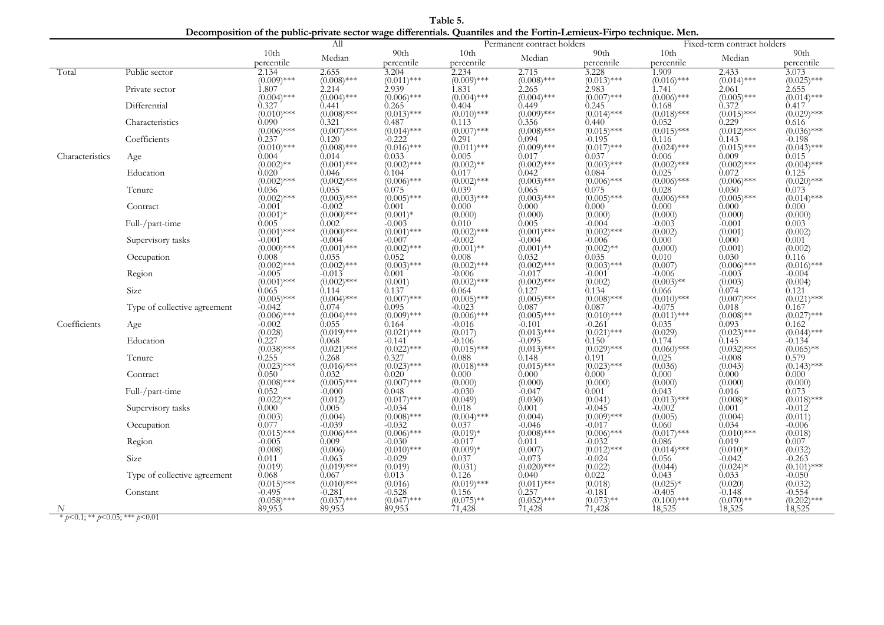**Table 5. Decomposition of the public-private sector wage differentials. Quantiles and the Fortin-Lemieux-Firpo technique. Men.**

|                 |                              |                        | All                    |                           |                        | Permanent contract holders |                           |                     | Fixed-term contract holders |                                   |
|-----------------|------------------------------|------------------------|------------------------|---------------------------|------------------------|----------------------------|---------------------------|---------------------|-----------------------------|-----------------------------------|
|                 |                              | 10 <sub>th</sub>       |                        | 90 <sub>th</sub>          | 10 <sub>th</sub>       |                            | 90 <sub>th</sub>          | 10th                |                             | 90th                              |
|                 |                              | percentile             | Median                 | percentile                | percentile             | Median                     | percentile                | percentile          | Median                      | percentile                        |
| Total           | Public sector                | 2.134                  | 2.655                  | 3.204                     | 2.234                  | 2.715                      | 3.228                     | 1.909               | 2.433                       | 3.073                             |
|                 |                              | $(0.009)$ ***          | $(0.008)$ ***          | $(0.011)$ ***             | $(0.009)$ ***          | $(0.008)$ ***              | $(0.013)$ ***             | $(0.016)$ ***       | $(0.014)$ ***               | $(0.025)$ ***                     |
|                 | Private sector               | 1.807                  | 2.214                  | 2.939                     | 1.831                  | 2.265                      | 2.983                     | 1.741               | 2.061                       | 2.655                             |
|                 |                              | $(0.004)$ ***          | $(0.004)$ ***          | $(0.006)$ ***             | $(0.004)$ ***          | $(0.004)$ ***              | $(0.007)$ ***             | $(0.006)$ ***       | $(0.005)$ ***               | $(0.014)$ ***                     |
|                 | Differential                 | 0.327                  | 0.441                  | 0.265                     | 0.404                  | 0.449                      | 0.245                     | 0.168               | 0.372                       | 0.417                             |
|                 |                              | $(0.010)$ ***          | $(0.008)$ ***          | $(0.013)$ ***             | $(0.010)$ ***          | $(0.009)$ ***              | $(0.014)$ ***             | $(0.018)$ ***       | $(0.015)$ ***               | $(0.029)$ ***                     |
|                 | Characteristics              | 0.090                  | 0.321                  | 0.487                     | 0.113                  | 0.356                      | 0.440                     | 0.052               | 0.229                       | 0.616                             |
|                 |                              | $(0.006)$ ***          | $(0.007)$ ***          | $(0.014)$ ***             | $(0.007)$ ***          | $(0.008)$ ***              | $(0.015)$ ***             | $(0.015)$ ***       | $(0.012)$ ***               | $(0.036)$ ***                     |
|                 | Coefficients                 | 0.237                  | 0.120                  | $-0.222$                  | 0.291                  | 0.094                      | $-0.195$                  | 0.116               | 0.143                       | $-0.198$                          |
|                 |                              | $(0.010)$ ***          | $(0.008)$ ***          | $(0.016)$ ***             | $(0.011)$ ***          | $(0.009)$ ***              | $(0.017)$ ***             | $(0.024)$ ***       | $(0.015)$ ***               | $(0.043)$ ***                     |
| Characteristics | Age                          | 0.004                  | 0.014                  | 0.033                     | 0.005                  | 0.017                      | 0.037                     | 0.006               | 0.009                       | 0.015                             |
|                 |                              | $(0.002)$ **           | $(0.001)$ ***          | $(0.002)$ ***             | $(0.002)$ **           | $(0.002)$ ***              | $(0.003)$ ***             | $(0.002)$ ***       | $(0.002)$ ***               | $(0.004)$ ***                     |
|                 | Education                    | 0.020                  | 0.046                  | 0.104                     | 0.017                  | 0.042                      | 0.084                     | 0.025               | 0.072                       | $0.125$<br>$(0.020)$ ***          |
|                 |                              | $(0.002)$ ***          | $(0.002)$ ***          | $(0.006)$ ***             | $(0.002)$ ***          | $(0.003)$ ***              | $(0.006)$ ***             | $(0.006)$ ***       | $(0.006)$ ***               |                                   |
|                 | Tenure                       | 0.036                  | 0.055                  | 0.075                     | 0.039                  | 0.065                      | 0.075                     | 0.028               | 0.030                       | 0.073                             |
|                 |                              | $(0.002)$ ***          | $(0.003)$ ***          | $(0.005)$ ***             | $(0.003)$ ***<br>0.000 | $(0.003)$ ***              | $(0.005)$ ***             | $(0.006)$ ***       | $(0.005)$ ***               | $(0.014)$ ***                     |
|                 | Contract                     | $-0.001$               | $-0.002$               | 0.001                     |                        | 0.000                      | 0.000                     | 0.000               | 0.000                       | 0.000                             |
|                 |                              | $(0.001)*$<br>0.005    | $(0.000)$ ***<br>0.002 | $(0.001)*$<br>$-0.003$    | (0.000)<br>0.010       | (0.000)<br>0.005           | (0.000)<br>$-0.004$       | (0.000)<br>$-0.003$ | (0.000)<br>$-0.001$         | (0.000)<br>0.003                  |
|                 | Full-/part-time              | $(0.001)$ ***          | $(0.000)$ ***          | $(0.001)$ ***             | $(0.002)$ ***          | $(0.001)$ ***              | $(0.002)$ ***             | (0.002)             | (0.001)                     | (0.002)                           |
|                 | Supervisory tasks            | $-0.001$               | $-0.004$               | $-0.007$                  | $-0.002$               | $-0.004$                   | $-0.006$                  | 0.000               | 0.000                       | 0.001                             |
|                 |                              | $(0.000)***$           | $(0.001)$ ***          | $(0.002)$ ***             | $(0.001)$ **           | $(0.001)$ **               | $(0.002)$ **              | (0.000)             | (0.001)                     | (0.002)                           |
|                 | Occupation                   | 0.008                  | 0.035                  | 0.052                     | 0.008                  | 0.032                      | 0.035                     | 0.010               | 0.030                       | 0.116                             |
|                 |                              | $(0.002)$ ***          | $(0.002)$ ***          | $(0.003)$ ***             | $(0.002)$ ***          | $(0.002)$ ***              | $(0.003)$ ***             | (0.007)             | $(0.006)$ ***               | $(0.016)$ ***                     |
|                 | Region                       | $-0.005$               | $-0.013$               | 0.001                     | $-0.006$               | $-0.017$                   | $-0.001$                  | $-0.006$            | $-0.003$                    | $-0.004$                          |
|                 |                              | $(0.001)$ ***          | $(0.002)$ ***          | (0.001)                   | $(0.002)$ ***          | $(0.002)$ ***              | (0.002)                   | $(0.003)$ **        | (0.003)                     | (0.004)                           |
|                 | Size                         | 0.065                  | 0.114                  | 0.137                     | 0.064                  | 0.127                      | 0.134                     | 0.066               | 0.074                       | 0.121                             |
|                 |                              | $(0.005)$ ***          | $(0.004)$ ***          | $(0.007)$ ***             | $(0.005)$ ***          | $(0.005)$ ***              | $(0.008)$ ***             | $(0.010)$ ***       | $(0.007)$ ***               | $(0.021)$ ***                     |
|                 | Type of collective agreement | $-0.042$               | 0.074                  | 0.095                     | $-0.023$               | 0.087                      | 0.087                     | $-0.075$            | 0.018                       | 0.167                             |
|                 |                              | $(0.006)$ ***          | $(0.004)$ ***          | $(0.009)$ ***             | $(0.006)$ ***          | $(0.005)$ ***              | $(0.010)$ ***             | $(0.011)$ ***       | $(0.008)$ **                | $(0.027)$ ***                     |
| Coefficients    | Age                          | $-0.002$               | 0.055                  | 0.164                     | $-0.016$               | $-0.101$                   | $-0.261$                  | 0.035               | 0.093                       | 0.162                             |
|                 |                              | (0.028)                | $(0.019)$ ***          | $(0.021)$ ***             | (0.017)                | $(0.013)$ ***              | $(0.021)$ ***             | (0.029)             | $(0.023)$ ***               | $(0.044)$ ***                     |
|                 | Education                    | 0.227                  | 0.068                  | $-0.141$                  | $-0.106$               | $-0.095$                   | 0.150                     | 0.174               | 0.145                       | $-0.134$                          |
|                 |                              | $(0.038)$ ***          | $(0.021)$ ***          | $(0.022)***$<br>0.327     | $(0.015)$ ***          | $(0.013)$ ***              | $(0.029)$ ***             | $(0.060)$ ***       | $(0.032)$ ***               | $(0.065)$ **                      |
|                 | Tenure                       | 0.255                  | 0.268                  |                           | 0.088                  | 0.148                      | 0.191                     | 0.025               | $-0.008$                    | 0.579                             |
|                 |                              | $(0.023)$ ***          | $(0.016)$ ***          | $(0.023)$ ***             | $(0.018)$ ***          | $(0.015)$ ***              | $(0.023)$ ***             | (0.036)             | (0.043)                     | $(0.143)$ ***                     |
|                 | Contract                     | 0.050                  | 0.032                  | 0.020                     | 0.000                  | 0.000                      | 0.000                     | 0.000               | 0.000                       | 0.000                             |
|                 |                              | $(0.008)$ ***<br>0.052 | $(0.005)$ ***          | $(0.007)$ ***             | (0.000)                | (0.000)<br>$-0.047$        | (0.000)                   | (0.000)<br>0.043    | (0.000)                     | $(0.000)$<br>0.073                |
|                 | Full-/part-time              |                        | $-0.000$               | 0.048<br>$(0.017)$ ***    | $-0.030$               |                            | 0.001<br>(0.041)          | $(0.013)$ ***       | 0.016<br>$(0.008)*$         | $(0.018)$ ***                     |
|                 |                              | $(0.022)$ **<br>0.000  | (0.012)                |                           | (0.049)<br>0.018       | (0.030)<br>0.001           |                           |                     |                             |                                   |
|                 | Supervisory tasks            | (0.003)                | 0.005<br>(0.004)       | $-0.034$<br>$(0.008)$ *** | $(0.004)$ ***          | (0.004)                    | $-0.045$<br>$(0.009)$ *** | $-0.002$<br>(0.005) | 0.001<br>(0.004)            | $-0.012$<br>$(0.011)$<br>$-0.006$ |
|                 | Occupation                   | 0.077                  | $-0.039$               | $-0.032$                  | 0.037                  | $-0.046$                   | $-0.017$                  | 0.060               | 0.034                       |                                   |
|                 |                              | $(0.015)$ ***          | $(0.006)$ ***          | $(0.006)$ ***             |                        | $(0.008)$ ***              | $(0.006)$ ***             | $(0.017)$ ***       | $(0.010)$ ***               |                                   |
|                 | Region                       | $-0.005$               | 0.009                  | $-0.030$                  | $(0.019)*$<br>-0.017   | 0.011                      | $-0.032$                  | 0.086               | 0.019                       | $(0.018)$<br>0.007<br>$(0.032)$   |
|                 |                              | (0.008)                | (0.006)                | $(0.010)$ ***             | $(0.009)*$             | (0.007)                    | $(0.012)$ ***             | $(0.014)$ ***       | $(0.010)*$                  |                                   |
|                 | Size                         | 0.011                  | $-0.063$               | $-0.029$                  | 0.037                  | $-0.073$                   | $-0.024$                  | 0.056               | $-0.042$                    | $-0.263$                          |
|                 |                              | (0.019)                | $(0.019)$ ***          | (0.019)                   | (0.031)                | $(0.020)$ ***              | (0.022)                   | (0.044)             | $(0.024)$ *                 | $(0.101)$ ***                     |
|                 | Type of collective agreement | 0.068                  | 0.067                  | 0.013                     | 0.126                  | 0.040                      | 0.022                     | 0.043               | 0.033                       | $-0.050$                          |
|                 |                              | $(0.015)$ ***          | $(0.010)$ ***          | (0.016)                   | $(0.019)$ ***          | $(0.011)$ ***              | (0.018)                   | $(0.025)*$          | (0.020)                     | (0.032)                           |
|                 | Constant                     | $-0.495$               | $-0.281$               | $-0.528$                  | 0.156                  | 0.257                      | $-0.181$                  | $-0.405$            | $-0.148$                    | $-0.554$                          |
|                 |                              | $(0.058)$ ***          | $(0.037)$ ***          | $(0.047)$ ***             | $(0.075)$ **           | $(0.052)$ ***              | $(0.073)$ **              | $(0.100)$ ***       | $(0.070)$ **                | $(0.202)$ ***                     |
| N               |                              | 89.953                 | 89.953                 | 89.953                    | 71,428                 | 71,428                     | 71,428                    | 18,525              | 18,525                      | 18,525                            |

 $*_{p<0.1;}$  \*\*  $p<0.05;$  \*\*\*  $p<0.01$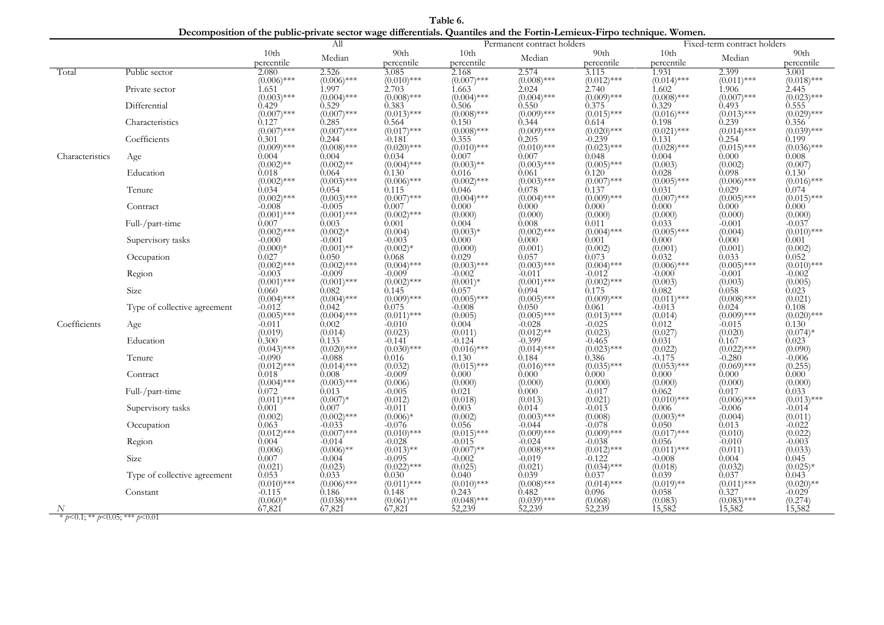**Table 6. Decomposition of the public-private sector wage differentials. Quantiles and the Fortin-Lemieux-Firpo technique. Women.**

|                 |                              |                        | All                    |                        |                      | Permanent contract holders |                        |                        | Fixed-term contract holders |                        |
|-----------------|------------------------------|------------------------|------------------------|------------------------|----------------------|----------------------------|------------------------|------------------------|-----------------------------|------------------------|
|                 |                              | 10 <sub>th</sub>       |                        | 90th                   | 10 <sub>th</sub>     |                            | 90 <sub>th</sub>       | 10 <sub>th</sub>       |                             | 90 <sub>th</sub>       |
|                 |                              | percentile             | Median                 | percentile             | percentile           | Median                     | percentile             | percentile             | Median                      | percentile             |
| Total           | Public sector                | 2.080                  | 2.526                  | 3.085                  | 2.168                | 2.574                      | 3.115                  | 1.931                  | 2.399                       | 3.001                  |
|                 |                              | $(0.006)$ ***          | $(0.006)$ ***          | $(0.010)$ ***          | $(0.007)$ ***        | $(0.008)$ ***              | $(0.012)$ ***          | $(0.014)$ ***          | $(0.011)$ ***               | $(0.018)$ ***          |
|                 | Private sector               | 1.651                  | 1.997                  | 2.703                  | 1.663                | 2.024                      | 2.740                  | 1.602                  | 1.906                       | 2.445                  |
|                 |                              | $(0.003)$ ***          | $(0.004)$ ***          | $(0.008)$ ***          | $(0.004)$ ***        | $(0.004)$ ***              | $(0.009)$ ***          | $(0.008)$ ***          | $(0.007)$ ***               | $(0.023)$ ***          |
|                 | Differential                 | 0.429                  | 0.529                  | 0.383                  | 0.506                | 0.550                      | 0.375                  | 0.329                  | 0.493                       | 0.555                  |
|                 |                              | $(0.007)$ ***          | $(0.007)$ ***          | $(0.013)$ ***          | $(0.008)$ ***        | $(0.009)$ ***              | $(0.015)$ ***          | $(0.016)$ ***          | $(0.013)$ ***               | $(0.029)$ ***          |
|                 | Characteristics              | 0.127                  | 0.285                  | 0.564                  | 0.150                | 0.344                      | 0.614                  | 0.198                  | 0.239                       | 0.356                  |
|                 |                              | $(0.007)$ ***          | $(0.007)$ ***          | $(0.017)$ ***          | $(0.008)$ ***        | $(0.009)$ ***              | $(0.020)$ ***          | $(0.021)$ ***          | $(0.014)$ ***               | $(0.039)$ ***          |
|                 | Coefficients                 | 0.301                  | 0.244                  | $-0.181$               | 0.355                | 0.205                      | $-0.239$               | 0.131                  | 0.254                       | 0.199                  |
|                 |                              | $(0.009)$ ***          | $(0.008)$ ***          | $(0.020)$ ***          | $(0.010)$ ***        | $(0.010)$ ***              | $(0.023)$ ***          | $(0.028)$ ***          | $(0.015)$ ***               | $(0.036)$ ***          |
| Characteristics | Age                          | 0.004                  | 0.004                  | 0.034                  | 0.007                | 0.007                      | 0.048                  | 0.004                  | 0.000                       | 0.008                  |
|                 |                              | $(0.002)$ **           | $(0.002)$ **           | $(0.004)$ ***          | $(0.003)$ **         | $(0.003)$ ***              | $(0.005)$ ***          | (0.003)                | (0.002)                     | (0.007)                |
|                 | Education                    | 0.018                  | 0.064                  | 0.130                  | 0.016                | 0.061                      | 0.120                  | 0.028                  | 0.098                       | 0.130                  |
|                 |                              | $(0.002)$ ***          | $(0.003)$ ***          | $(0.006)$ ***          | $(0.002)$ ***        | $(0.003)$ ***              | $(0.007)$ ***          | $(0.005)$ ***          | $(0.006)$ ***               | $(0.016)$ ***          |
|                 | Tenure                       | 0.034                  | 0.054                  | 0.115                  | 0.046                | 0.078                      | 0.137                  | 0.031                  | 0.029                       | 0.074                  |
|                 |                              | $(0.002)$ ***          | $(0.003)$ ***          | $(0.007)$ ***          | $(0.004)$ ***        | $(0.004)$ ***              | $(0.009)$ ***          | $(0.007)$ ***          | $(0.005)$ ***               | $(0.015)$ ***          |
|                 | Contract                     | $-0.008$               | $-0.005$               | 0.007                  | 0.000                | 0.000                      | 0.000                  | 0.000                  | 0.000                       | 0.000                  |
|                 |                              | $(0.001)$ ***<br>0.007 | $(0.001)$ ***<br>0.003 | $(0.002)$ ***<br>0.001 | (0.000)<br>0.004     | (0.000)<br>0.008           | (0.000)                | (0.000)<br>0.033       | (0.000)<br>$-0.001$         | (0.000)<br>$-0.037$    |
|                 | Full-/part-time              | $(0.002)$ ***          | $(0.002)*$             | (0.004)                | $(0.003)*$           | $(0.002)$ ***              | 0.011<br>$(0.004)$ *** | $(0.005)$ ***          | (0.004)                     | $(0.010)$ ***          |
|                 | Supervisory tasks            | $-0.000$               | $-0.001$               | $-0.003$               | 0.000                | 0.000                      | 0.001                  | 0.000                  | 0.000                       | 0.001                  |
|                 |                              | $(0.000)*$             | $(0.001)$ **           | $(0.002)*$             | (0.000)              | (0.001)                    | (0.002)                | (0.001)                | (0.001)                     |                        |
|                 | Occupation                   | 0.027                  | 0.050                  | 0.068                  | 0.029                | 0.057                      | 0.073                  | 0.032                  | 0.033                       | $(0.002)$<br>0.052     |
|                 |                              | $(0.002)$ ***          | $(0.002)$ ***          | $(0.004)$ ***          | $(0.003)$ ***        | $(0.003)$ ***              | $(0.004)$ ***          | $(0.006)$ ***          | $(0.005)$ ***               | $(0.010)$ ***          |
|                 | Region                       | $-0.003$               | $-0.009$               | $-0.009$               | $-0.002$             | $-0.011$                   | $-0.012$               | $-0.000$               | $-0.001$                    | $-0.002$               |
|                 |                              | $(0.001)$ ***          | $(0.001)$ ***          | $(0.002)$ ***          | $(0.001)*$           | $(0.001)$ ***              | $(0.002)$ ***          | (0.003)                | (0.003)                     | (0.005)                |
|                 | Size                         | 0.060                  | 0.082                  | 0.145                  | 0.057                | 0.094                      | 0.175                  | 0.082                  | 0.058                       | 0.023                  |
|                 |                              | $(0.004)$ ***          | $(0.004)$ ***          | $(0.009)$ ***          | $(0.005)$ ***        | $(0.005)$ ***              | $(0.009)$ ***          | $(0.011)$ ***          | $(0.008)$ ***               | (0.021)                |
|                 | Type of collective agreement | $-0.012$               | 0.042                  | 0.075                  | $-0.008$             | 0.050                      | 0.061                  | $-0.013$               | 0.024                       | 0.108                  |
|                 |                              | $(0.005)$ ***          | $(0.004)$ ***          | $(0.011)$ ***          |                      | $(0.005)$ ***              | $(0.013)$ ***          | (0.014)                | $(0.009)$ ***               | $(0.020)$ ***          |
| Coefficients    | Age                          | $-0.011$               | 0.002                  | $-0.010$               | $(0.005)$<br>0.004   | $-0.028$                   | $-0.025$               | 0.012                  | $-0.015$                    | 0.130                  |
|                 |                              | (0.019)                | (0.014)                | (0.023)                | (0.011)              | $(0.012)$ **               | (0.023)                | (0.027)                | (0.020)                     | $(0.074)*$             |
|                 | Education                    | 0.300                  | 0.133                  | $-0.141$               | $-0.124$             | $-0.399$                   | $-0.465$               | 0.031                  | 0.167                       | 0.023                  |
|                 |                              | $(0.043)$ ***          | $(0.020)$ ***          | $(0.030)$ ***          | $(0.016)$ ***        | $(0.014)$ ***              | $(0.023)$ ***          | $(0.022)$<br>-0.175    | $(0.022)$ ***               | (0.090)                |
|                 | Tenure                       | $-0.090$               | $-0.088$               | 0.016                  | 0.130                | 0.184                      | 0.386                  |                        | $-0.280$                    | $-0.006$               |
|                 |                              | $(0.012)$ ***          | $(0.014)$ ***          | (0.032)                | $(0.015)$ ***        | $(0.016)$ ***              | $(0.035)$ ***          | $(0.053)$ ***          | $(0.069)$ ***               | (0.255)                |
|                 | Contract                     | 0.018                  | 0.008                  | $-0.009$               | 0.000                | 0.000                      | 0.000                  | 0.000                  | 0.000                       | 0.000                  |
|                 |                              | $(0.004)$ ***          | $(0.003)$ ***          | (0.006)                | $(0.000)$<br>$0.021$ | (0.000)                    | (0.000)                | (0.000)                | (0.000)                     | (0.000)                |
|                 | Full-/part-time              | 0.072<br>$(0.011)$ *** | 0.013<br>$(0.007)*$    | $-0.005$<br>(0.012)    | (0.018)              | 0.000<br>(0.013)           | $-0.017$<br>(0.021)    | 0.062<br>$(0.010)$ *** | 0.017<br>$(0.006)$ ***      | 0.033<br>$(0.013)$ *** |
|                 |                              | 0.001                  | 0.007                  | $-0.011$               | 0.003                | 0.014                      | $-0.013$               | 0.006                  | $-0.006$                    | $-0.014$               |
|                 | Supervisory tasks            | (0.002)                | $(0.002)$ ***          | $(0.006)*$             | (0.002)              | $(0.003)$ ***              | (0.008)                | $(0.003)$ **           | (0.004)                     | (0.011)                |
|                 | Occupation                   | 0.063                  | $-0.033$               | $-0.076$               | 0.056                | $-0.044$                   | $-0.078$               | 0.050                  | 0.013                       | $-0.022$               |
|                 |                              | $(0.012)$ ***          | $(0.007)$ ***          | $(0.010)$ ***          | $(0.015)$ ***        | $(0.009)$ ***              | $(0.009)$ ***          | $(0.017)$ ***          | (0.010)                     |                        |
|                 | Region                       | 0.004                  | $-0.014$               | $-0.028$               | $-0.015$             | $-0.024$                   | $-0.038$               | 0.056                  | $-0.010$                    | (0.022)                |
|                 |                              | (0.006)                | $(0.006)$ **           | $(0.013)$ **           | $(0.007)$ **         | $(0.008)$ ***              | $(0.012)$ ***          | $(0.011)$ ***          | (0.011)                     | (0.033)                |
|                 | Size                         | 0.007                  | $-0.004$               | $-0.095$               | $-0.002$             | $-0.019$                   | $-0.122$               | $-0.008$               | 0.004                       | 0.045                  |
|                 |                              | (0.021)                | (0.023)                | $(0.022)$ ***          | (0.025)              | (0.021)                    | $(0.034)$ ***          | (0.018)                | (0.032)                     | $(0.025)*$             |
|                 | Type of collective agreement | 0.053                  | 0.033                  | 0.030                  | 0.040                | 0.039                      | 0.037                  | 0.039                  | 0.037                       | 0.043                  |
|                 |                              | $(0.010)$ ***          | $(0.006)$ ***          | $(0.011)$ ***          | $(0.010)$ ***        | $(0.008)$ ***              | $(0.014)$ ***          | $(0.019)$ **           | $(0.011)$ ***               | $(0.020)$ **           |
|                 | Constant                     | $-0.115$               | 0.186                  | 0.148                  | 0.243                | 0.482                      | 0.096                  | 0.058                  | 0.327                       | $-0.029$               |
|                 |                              | $(0.060)$ *            | $(0.038)$ ***          | $(0.061)$ **           | $(0.048)$ ***        | $(0.039)$ ***              | (0.068)                | (0.083)                | $(0.083)$ ***               | (0.274)                |
| N               |                              | 67,821                 | 67,821                 | 67,821                 | 52.239               | 52,239                     | 52.239                 | 15,582                 | 15,582                      | 15,582                 |

 $*$  *p*<0.1; \*\* *p*<0.05; \*\*\* *p*<0.01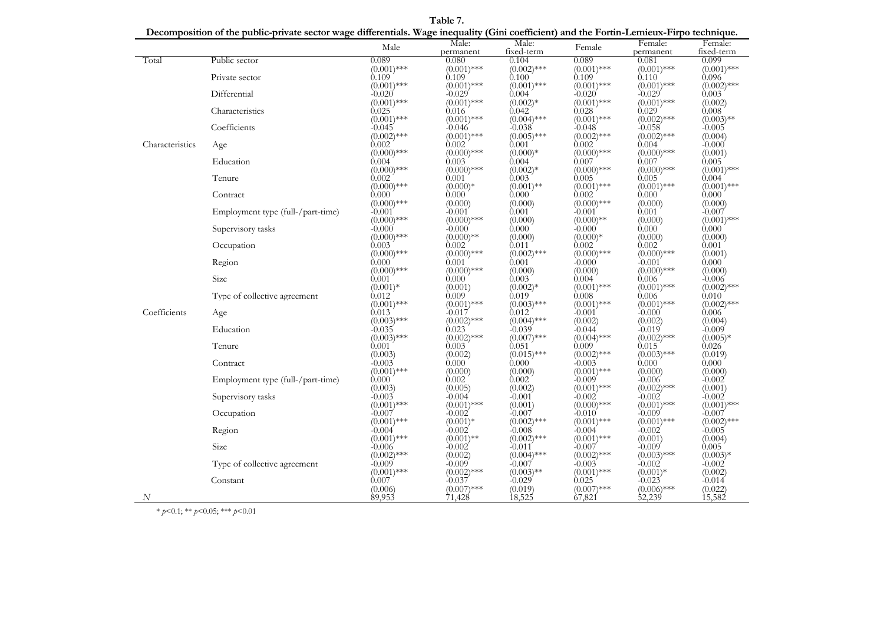| Decomposition of the public-private sector wage differentials. Wage inequality (Gini coefficient) and the Fortin-Lemieux-Firpo technique.<br>Male:<br>Male<br>permanent | Male:<br>Female:<br>Female<br>fixed-term<br>permanent<br>0.104<br>0.089<br>0.099<br>0.081<br>$(0.002)$ ***<br>$(0.001)$ ***<br>$(0.001)$ *** | Female:<br>fixed-term |
|-------------------------------------------------------------------------------------------------------------------------------------------------------------------------|----------------------------------------------------------------------------------------------------------------------------------------------|-----------------------|
|                                                                                                                                                                         |                                                                                                                                              |                       |
|                                                                                                                                                                         |                                                                                                                                              |                       |
| Public sector<br>0.089<br>Total<br>0.080                                                                                                                                |                                                                                                                                              |                       |
| $(0.001)$ ***<br>$(0.001)$ ***                                                                                                                                          |                                                                                                                                              | $(0.001)$ ***         |
| Private sector<br>0.109<br>0.109<br>$(0.001)$ ***                                                                                                                       | 0.100<br>0.109<br>0.110<br>0.096<br>$(0.001)$ ***<br>$(0.001)$ ***<br>$(0.001)$ ***                                                          | $(0.002)$ ***         |
| $(0.001)$ ***<br>Differential<br>$-0.029$<br>$-0.020$                                                                                                                   | 0.004<br>$-0.020$<br>$-0.029$<br>0.003                                                                                                       |                       |
| $(0.001)$ ***<br>$(0.001)$ ***                                                                                                                                          | $(0.001)$ ***<br>$(0.001)$ ***<br>$(0.002)*$                                                                                                 | (0.002)               |
| Characteristics<br>0.025<br>0.016                                                                                                                                       | 0.042<br>0.028<br>0.008<br>0.029                                                                                                             |                       |
| $(0.001)$ ***<br>$(0.001)$ ***                                                                                                                                          | $(0.004)$ ***<br>$(0.001)$ ***<br>$(0.002)$ ***                                                                                              | $(0.003)$ **          |
| Coefficients<br>$-0.045$<br>$-0.046$                                                                                                                                    | $-0.038$<br>$-0.048$<br>$-0.058$<br>$-0.005$                                                                                                 |                       |
| $(0.002)$ ***<br>$(0.001)$ ***                                                                                                                                          | $(0.005)$ ***<br>$(0.002)$ ***<br>$(0.002)$ ***                                                                                              | (0.004)               |
| Characteristics<br>Age<br>0.002<br>0.002                                                                                                                                | 0.002<br>0.001<br>0.004<br>$-0.000$                                                                                                          |                       |
| $(0.000)$ ***<br>$(0.000)$ ***<br>Education<br>0.004                                                                                                                    | $(0.000)*$<br>$(0.000)$ ***<br>$(0.000)$ ***<br>0.007                                                                                        | (0.001)               |
| 0.003<br>$(0.000)$ ***<br>$(0.000)$ ***                                                                                                                                 | 0.004<br>0.005<br>0.007<br>$(0.002)*$<br>$(0.000)$ ***<br>$(0.000)$ ***                                                                      | $(0.001)$ ***         |
| Tenure<br>0.002<br>0.001                                                                                                                                                | 0.003<br>0.005<br>0.005<br>0.004                                                                                                             |                       |
| $(0.000)*$<br>$(0.000)$ ***                                                                                                                                             | $(0.001)$ **<br>$(0.001)$ ***<br>$(0.001)$ ***                                                                                               | $(0.001)$ ***         |
| 0.000<br>Contract<br>0.000                                                                                                                                              | 0.002<br>0.000<br>0.000<br>0.000                                                                                                             |                       |
| $(0.000)$ ***<br>(0.000)                                                                                                                                                | (0.000)<br>$(0.000)$ ***<br>(0.000)                                                                                                          | (0.000)               |
| $-0.001$<br>$-0.001$<br>Employment type (full-/part-time)                                                                                                               | 0.001<br>$-0.001$<br>0.001<br>$-0.007$                                                                                                       |                       |
| $(0.000)$ ***<br>$(0.000)$ ***                                                                                                                                          | $(0.000)$ **<br>(0.000)<br>(0.000)                                                                                                           | $(0.001)$ ***         |
| Supervisory tasks<br>$-0.000$<br>$-0.000$                                                                                                                               | 0.000<br>$-0.000$<br>0.000<br>0.000                                                                                                          |                       |
| $(0.000)$ ***<br>$(0.000)**$<br>0.003                                                                                                                                   | (0.000)<br>$(0.000)*$<br>(0.000)                                                                                                             | (0.000)               |
| Occupation<br>0.002<br>$(0.000)$ ***<br>$(0.000)$ ***                                                                                                                   | 0.011<br>0.002<br>0.002<br>0.001<br>$(0.000)$ ***<br>$(0.000)$ ***<br>$(0.002)$ ***                                                          | (0.001)               |
| Region<br>0.000<br>0.001                                                                                                                                                | $-0.000$<br>0.001<br>0.000<br>$-0.001$                                                                                                       |                       |
| $(0.000)$ ***<br>$(0.000)$ ***                                                                                                                                          | (0.000)<br>$(0.000)$ ***<br>(0.000)                                                                                                          | (0.000)               |
| Size<br>0.001<br>0.000                                                                                                                                                  | 0.003<br>0.004<br>0.006<br>$-0.006$                                                                                                          |                       |
| (0.001)<br>$(0.001)*$                                                                                                                                                   | $(0.002)*$<br>$(0.001)$ ***<br>$(0.001)$ ***                                                                                                 | $(0.002)$ ***         |
| Type of collective agreement<br>0.012<br>0.009                                                                                                                          | 0.019<br>0.008<br>0.006<br>0.010                                                                                                             |                       |
| $(0.001)$ ***<br>$(0.001)$ ***                                                                                                                                          | $(0.003)$ ***<br>$(0.001)$ ***<br>$(0.001)$ ***                                                                                              | $(0.002)$ ***         |
| Coefficients<br>$-0.017$<br>0.013<br>Age                                                                                                                                | 0.012<br>$-0.001$<br>$-0.000$<br>0.006                                                                                                       |                       |
| $(0.003)$ ***<br>$(0.002)$ ***                                                                                                                                          | $(0.004)$ ***<br>(0.002)<br>(0.002)                                                                                                          | (0.004)               |
| 0.023<br>Education<br>$-0.035$<br>$(0.003)$ ***<br>$(0.002)$ ***                                                                                                        | $-0.039$<br>$-0.019$<br>$-0.044$<br>$-0.009$<br>$(0.007)$ ***<br>$(0.004)$ ***<br>$(0.002)$ ***                                              | $(0.005)*$            |
| Tenure<br>0.001<br>0.003                                                                                                                                                | 0.051<br>0.009<br>0.015<br>0.026                                                                                                             |                       |
| (0.002)<br>(0.003)                                                                                                                                                      | $(0.015)$ ***<br>$(0.002)$ ***<br>$(0.003)$ ***                                                                                              | (0.019)               |
| $-0.003$<br>0.000<br>Contract                                                                                                                                           | $-0.003$<br>0.000<br>0.000<br>0.000                                                                                                          |                       |
| $(0.001)$ ***<br>(0.000)                                                                                                                                                | (0.000)<br>$(0.001)$ ***<br>(0.000)                                                                                                          | (0.000)               |
| Employment type (full-/part-time)<br>0.000<br>0.002                                                                                                                     | 0.002<br>$-0.009$<br>$-0.002$<br>$-0.006$                                                                                                    |                       |
| (0.005)<br>(0.003)                                                                                                                                                      | $(0.001)$ ***<br>$(0.002)$ ***<br>(0.002)<br>(0.001)                                                                                         |                       |
| Supervisory tasks<br>$-0.004$<br>$-0.003$                                                                                                                               | $-0.002$<br>$-0.001$<br>$-0.002$<br>$-0.002$                                                                                                 |                       |
| $(0.001)$ ***<br>$(0.001)$ ***<br>Occupation<br>$-0.007$<br>$-0.002$                                                                                                    | (0.001)<br>$(0.001)$ ***<br>$(0.000)$ ***<br>$-0.009$<br>$-0.007$<br>$-0.010$<br>$-0.007$                                                    | $(0.001)$ ***         |
| $(0.001)*$<br>$(0.001)$ ***                                                                                                                                             | $(0.001)$ ***<br>$(0.001)$ ***<br>$(0.002)$ ***                                                                                              | $(0.002)$ ***         |
| $-0.002$<br>$-0.004$<br>Region                                                                                                                                          | $-0.008$<br>$-0.004$<br>$-0.002$<br>$-0.005$                                                                                                 |                       |
| $(0.001)$ ***<br>$(0.001)$ **                                                                                                                                           | $(0.002)$ ***<br>$(0.001)$ ***<br>(0.001)                                                                                                    | (0.004)               |
| Size<br>$-0.002$<br>$-0.006$                                                                                                                                            | $-0.011$<br>$-0.007$<br>$-0.009$<br>0.005                                                                                                    |                       |
| $(0.002)$ ***<br>(0.002)                                                                                                                                                | $(0.003)$ ***<br>$(0.004)$ ***<br>$(0.002)$ ***                                                                                              | $(0.003)*$            |
| $-0.009$<br>$-0.009$<br>Type of collective agreement                                                                                                                    | $-0.002$<br>$-0.007$<br>$-0.003$<br>$-0.002$                                                                                                 |                       |
| $(0.001)$ ***<br>$(0.002)$ ***                                                                                                                                          | $(0.003)$ **<br>$(0.001)$ ***<br>$(0.001)*$                                                                                                  | (0.002)               |
| 0.007<br>$-0.037$<br>Constant<br>$(0.007)$ ***                                                                                                                          | $-0.029$<br>0.025<br>$-0.023$<br>$-0.014$<br>(0.019)<br>$(0.006)$ ***                                                                        |                       |
| (0.006)<br>89,953<br>71,428<br>N                                                                                                                                        | $(0.007)$ ***<br>(0.022)<br>67,821<br>52,239<br>18,525<br>15,582                                                                             |                       |

 $*$  *p*<0.1; \*\* *p*<0.05; \*\*\* *p*<0.01